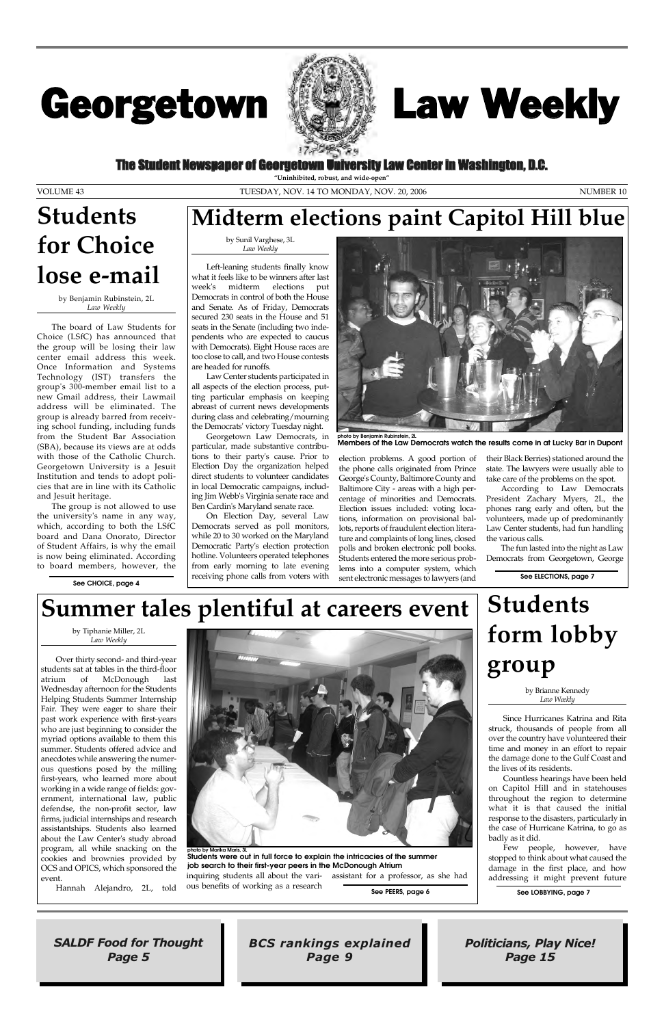### The Student Newspaper of Georgetown University Law Center in Washington, D.C.

# Georgetown



SALDF Food for Thought Page 5

Politicians, Play Nice! Page 15

BCS rankings explained Page 9

# Law Weekly

**"Uninhibited, robust, and wide-open"**

VOLUME 43 NUMBER 10

by Benjamin Rubinstein, 2L *Law Weekly*

The board of Law Students for Choice (LSfC) has announced that the group will be losing their law center email address this week. Once Information and Systems Technology (IST) transfers the group's 300-member email list to a new Gmail address, their Lawmail address will be eliminated. The group is already barred from receiving school funding, including funds from the Student Bar Association (SBA), because its views are at odds with those of the Catholic Church. Georgetown University is a Jesuit Institution and tends to adopt policies that are in line with its Catholic and Jesuit heritage.

The group is not allowed to use the university's name in any way, which, according to both the LSfC board and Dana Onorato, Director of Student Affairs, is why the email is now being eliminated. According to board members, however, the

> by Tiphanie Miller, 2L *Law Weekly*

Over thirty second- and third-year students sat at tables in the third-floor atrium of McDonough last Wednesday afternoon for the Students Helping Students Summer Internship Fair. They were eager to share their past work experience with first-years who are just beginning to consider the myriad options available to them this summer. Students offered advice and anecdotes while answering the numerous questions posed by the milling first-years, who learned more about working in a wide range of fields: government, international law, public defendse, the non-profit sector, law firms, judicial internships and research assistantships. Students also learned about the Law Center's study abroad program, all while snacking on the cookies and brownies provided by OCS and OPICS, which sponsored the event.



Hannah Alejandro, 2L, told

inquiring students all about the vari-assistant for a professor, as she had ous benefits of working as a research

by Sunil Varghese, 3L *Law Weekly*

Left-leaning students finally know what it feels like to be winners after last week's midterm elections put Democrats in control of both the House and Senate. As of Friday, Democrats secured 230 seats in the House and 51 seats in the Senate (including two independents who are expected to caucus with Democrats). Eight House races are too close to call, and two House contests are headed for runoffs.

Law Center students participated in all aspects of the election process, putting particular emphasis on keeping abreast of current news developments during class and celebrating/mourning the Democrats' victory Tuesday night.

Georgetown Law Democrats, in particular, made substantive contributions to their party's cause. Prior to Election Day the organization helped direct students to volunteer candidates in local Democratic campaigns, including Jim Webb's Virginia senate race and Ben Cardin's Maryland senate race.

On Election Day, several Law Democrats served as poll monitors, while 20 to 30 worked on the Maryland Democratic Party's election protection hotline. Volunteers operated telephones from early morning to late evening receiving phone calls from voters with



election problems. A good portion of the phone calls originated from Prince George's County, Baltimore County and Baltimore City - areas with a high percentage of minorities and Democrats. Election issues included: voting locations, information on provisional ballots, reports of fraudulent election literature and complaints of long lines, closed polls and broken electronic poll books. Students entered the more serious problems into a computer system, which sent electronic messages to lawyers (and

their Black Berries) stationed around the state. The lawyers were usually able to take care of the problems on the spot.

According to Law Democrats President Zachary Myers, 2L, the phones rang early and often, but the volunteers, made up of predominantly Law Center students, had fun handling the various calls.

The fun lasted into the night as Law Democrats from Georgetown, George

# **Students for Choice lose e-mail**

**See PEERS, page 6**

**See ELECTIONS, page 7**

**photo by Benjamin Rubinstein, 2L Members of the Law Democrats watch the results come in at Lucky Bar in Dupont**

### **Summer tales plentiful at careers event**

**photo by Marika Maris, 3L Students were out in full force to explain the intricacies of the summer job search to their first-year peers in the McDonough Atrium**

### **Midterm elections paint Capitol Hill blue**

**See LOBBYING, page 7**

# **Students form lobby group**

by Brianne Kennedy *Law Weekly*

Since Hurricanes Katrina and Rita struck, thousands of people from all over the country have volunteered their time and money in an effort to repair the damage done to the Gulf Coast and the lives of its residents. Countless hearings have been held on Capitol Hill and in statehouses throughout the region to determine what it is that caused the initial response to the disasters, particularly in the case of Hurricane Katrina, to go as badly as it did. Few people, however, have stopped to think about what caused the damage in the first place, and how addressing it might prevent future

**See CHOICE, page 4**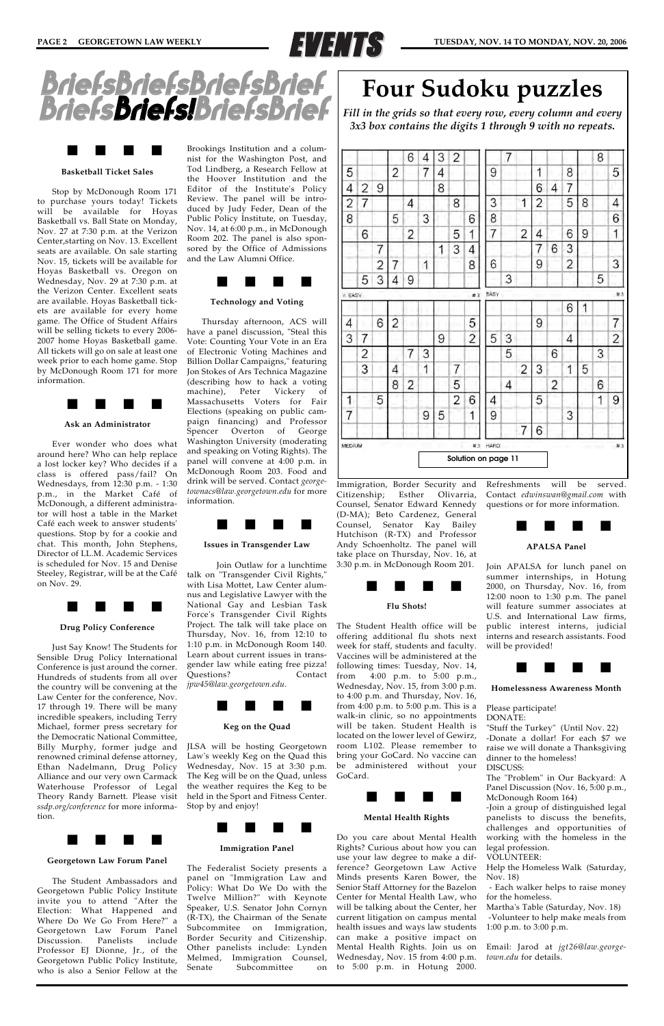



#### **Basketball Ticket Sales**

Stop by McDonough Room 171 to purchase yours today! Tickets will be available for Hoyas Basketball vs. Ball State on Monday, Nov. 27 at 7:30 p.m. at the Verizon Center,starting on Nov. 13. Excellent seats are available. On sale starting Nov. 15, tickets will be available for Hoyas Basketball vs. Oregon on Wednesday, Nov. 29 at 7:30 p.m. at the Verizon Center. Excellent seats are available. Hoyas Basketball tickets are available for every home game. The Office of Student Affairs will be selling tickets to every 2006- 2007 home Hoyas Basketball game. All tickets will go on sale at least one week prior to each home game. Stop by McDonough Room 171 for more information.



#### **Ask an Administrator**

Ever wonder who does what around here? Who can help replace a lost locker key? Who decides if a class is offered pass/fail? On Wednesdays, from 12:30 p.m. - 1:30 p.m., in the Market Café of McDonough, a different administrator will host a table in the Market Café each week to answer students' questions. Stop by for a cookie and chat. This month, John Stephens, Director of LL.M. Academic Services is scheduled for Nov. 15 and Denise Steeley, Registrar, will be at the Café on Nov. 29.



#### **Drug Policy Conference**

Just Say Know! The Students for Sensible Drug Policy International Conference is just around the corner. Hundreds of students from all over the country will be convening at the Law Center for the conference, Nov. 17 through 19. There will be many incredible speakers, including Terry Michael, former press secretary for the Democratic National Committee, Billy Murphy, former judge and renowned criminal defense attorney, Ethan Nadelmann, Drug Policy Alliance and our very own Carmack Waterhouse Professor of Legal Theory Randy Barnett. Please visit *ssdp.org/conference* for more information.



#### **Georgetown Law Forum Panel**

The Student Ambassadors and Georgetown Public Policy Institute invite you to attend "After the Election: What Happened and Where Do We Go From Here?" a Georgetown Law Forum Panel Discussion. Panelists include Professor EJ Dionne, Jr., of the Georgetown Public Policy Institute, who is also a Senior Fellow at the Brookings Institution and a columnist for the Washington Post, and Tod Lindberg, a Research Fellow at the Hoover Institution and the Editor of the Institute's Policy Review. The panel will be introduced by Judy Feder, Dean of the Public Policy Institute, on Tuesday, Nov. 14, at 6:00 p.m., in McDonough Room 202. The panel is also sponsored by the Office of Admissions and the Law Alumni Office.



#### **Technology and Voting**

Thursday afternoon, ACS will have a panel discussion, "Steal this Vote: Counting Your Vote in an Era of Electronic Voting Machines and Billion Dollar Campaigns," featuring Jon Stokes of Ars Technica Magazine (describing how to hack a voting machine), Peter Vickery of Massachusetts Voters for Fair Elections (speaking on public campaign financing) and Professor Spencer Overton of George Washington University (moderating and speaking on Voting Rights). The panel will convene at 4:00 p.m. in McDonough Room 203. Food and drink will be served. Contact *georgetownacs@law.georgetown.edu* for more information.



#### **Issues in Transgender Law**

Join Outlaw for a lunchtime talk on "Transgender Civil Rights," with Lisa Mottet, Law Center alumnus and Legislative Lawyer with the National Gay and Lesbian Task Force's Transgender Civil Rights Project. The talk will take place on Thursday, Nov. 16, from 12:10 to 1:10 p.m. in McDonough Room 140. Learn about current issues in transgender law while eating free pizza! Questions? Contact *jpw45@law.georgetown.edu*.



#### **Keg on the Quad**

JLSA will be hosting Georgetown

Law's weekly Keg on the Quad this bring your GoCard. No vaccine can Wednesday, Nov. 15 at 3:30 p.m. be administered without your The Keg will be on the Quad, unless the weather requires the Keg to be held in the Sport and Fitness Center. Stop by and enjoy!



#### **Immigration Panel**

The Federalist Society presents a panel on "Immigration Law and Policy: What Do We Do with the Twelve Million?" with Keynote Speaker, U.S. Senator John Cornyn (R-TX), the Chairman of the Senate Subcommitee on Immigration, Border Security and Citizenship. Other panelists include: Lynden Melmed, Immigration Counsel, Senate Subcommittee on

Immigration, Border Security and Citizenship; Esther Olivarria, Counsel, Senator Edward Kennedy (D-MA); Beto Cardenez, General Counsel, Senator Kay Bailey Hutchison (R-TX) and Professor Andy Schoenholtz. The panel will take place on Thursday, Nov. 16, at 3:30 p.m. in McDonough Room 201.



#### **Flu Shots!**

The Student Health office will be offering additional flu shots next week for staff, students and faculty. Vaccines will be administered at the following times: Tuesday, Nov. 14, from 4:00 p.m. to 5:00 p.m., Wednesday, Nov. 15, from 3:00 p.m. to 4:00 p.m. and Thursday, Nov. 16, from 4:00 p.m. to 5:00 p.m. This is a walk-in clinic, so no appointments will be taken. Student Health is located on the lower level of Gewirz, room L102. Please remember to

GoCard.



#### **Mental Health Rights**

Do you care about Mental Health Rights? Curious about how you can use your law degree to make a difference? Georgetown Law Active Minds presents Karen Bower, the Senior Staff Attorney for the Bazelon Center for Mental Health Law, who will be talking about the Center, her current litigation on campus mental health issues and ways law students can make a positive impact on Mental Health Rights. Join us on Wednesday, Nov. 15 from 4:00 p.m. to 5:00 p.m. in Hotung 2000.

Refreshments will be served. Contact *edwinswan@gmail.com* with questions or for more information.



#### **APALSA Panel**

Join APALSA for lunch panel on summer internships, in Hotung 2000, on Thursday, Nov. 16, from 12:00 noon to 1:30 p.m. The panel will feature summer associates at U.S. and International Law firms, public interest interns, judicial interns and research assistants. Food will be provided!



**Homelessness Awareness Month**

Please participate! DONATE:

"Stuff the Turkey" (Until Nov. 22) -Donate a dollar! For each \$7 we raise we will donate a Thanksgiving

dinner to the homeless! DISCUSS:

The "Problem" in Our Backyard: A Panel Discussion (Nov. 16, 5:00 p.m., McDonough Room 164)

-Join a group of distinguished legal panelists to discuss the benefits, challenges and opportunities of working with the homeless in the legal profession.

VOLUNTEER:

Help the Homeless Walk (Saturday, Nov. 18)

- Each walker helps to raise money for the homeless.

Martha's Table (Saturday, Nov. 18) -Volunteer to help make meals from 1:00 p.m. to 3:00 p.m.

Email: Jarod at *jgt26@law.georgetown.edu* for details.





### **Four Sudoku puzzles**

*Fill in the grids so that every row, every column and every 3x3 box contains the digits 1 through 9 with no repeats.*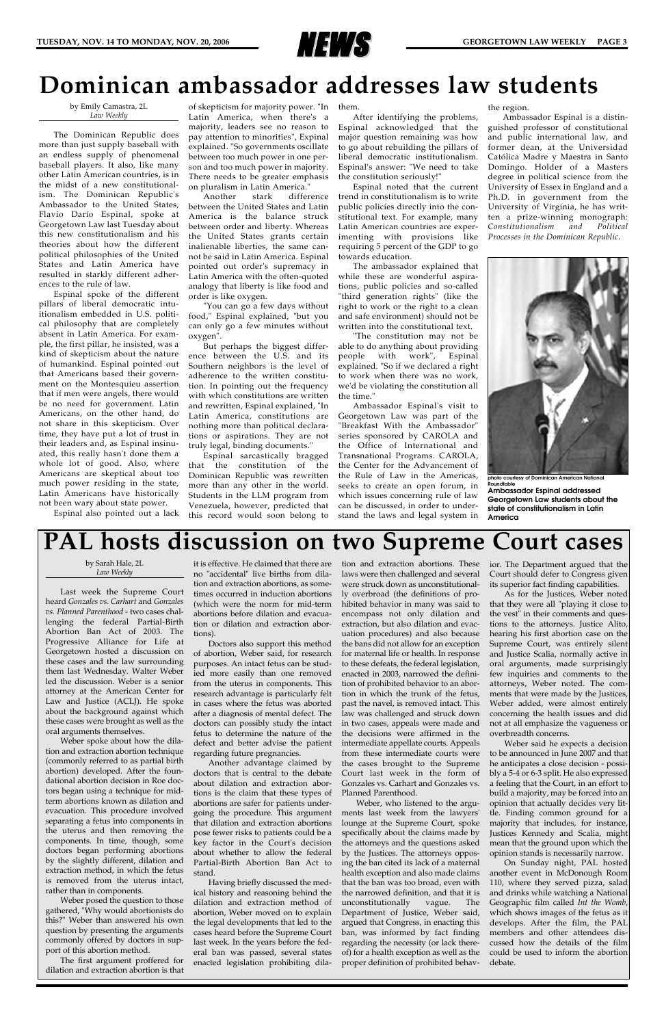

by Emily Camastra, 2L *Law Weekly*

The Dominican Republic does more than just supply baseball with an endless supply of phenomenal baseball players. It also, like many other Latin American countries, is in the midst of a new constitutionalism. The Dominican Republic's Ambassador to the United States, Flavio Darío Espinal, spoke at Georgetown Law last Tuesday about this new constitutionalism and his theories about how the different political philosophies of the United States and Latin America have resulted in starkly different adherences to the rule of law.

Espinal spoke of the different pillars of liberal democratic intuitionalism embedded in U.S. political philosophy that are completely absent in Latin America. For example, the first pillar, he insisted, was a kind of skepticism about the nature of humankind. Espinal pointed out that Americans based their government on the Montesquieu assertion that if men were angels, there would be no need for government. Latin Americans, on the other hand, do not share in this skepticism. Over time, they have put a lot of trust in their leaders and, as Espinal insinuated, this really hasn't done them a whole lot of good. Also, where Americans are skeptical about too much power residing in the state, Latin Americans have historically not been wary about state power.

Espinal also pointed out a lack

of skepticism for majority power. "In them. Latin America, when there's a majority, leaders see no reason to pay attention to minorities", Expinal explained. "So governments oscillate between too much power in one person and too much power in majority. There needs to be greater emphasis on pluralism in Latin America."

Another stark difference between the United States and Latin America is the balance struck between order and liberty. Whereas the United States grants certain inalienable liberties, the same cannot be said in Latin America. Espinal pointed out order's supremacy in Latin America with the often-quoted analogy that liberty is like food and order is like oxygen.

"You can go a few days without food," Espinal explained, "but you can only go a few minutes without oxygen".

But perhaps the biggest difference between the U.S. and its Southern neighbors is the level of adherence to the written constitution. In pointing out the frequency with which constitutions are written and rewritten, Espinal explained, "In Latin America, constitutions are nothing more than political declarations or aspirations. They are not truly legal, binding documents."

Espinal sarcastically bragged that the constitution of the Dominican Republic was rewritten more than any other in the world. Students in the LLM program from Venezuela, however, predicted that this record would soon belong to

After identifying the problems, Espinal acknowledged that the major question remaining was how to go about rebuilding the pillars of liberal democratic institutionalism. Espinal's answer: "We need to take the constitution seriously!"

Espinal noted that the current trend in constitutionalism is to write public policies directly into the constitutional text. For example, many Latin American countries are experimenting with provisions like requiring 5 percent of the GDP to go towards education.

The ambassador explained that while these are wonderful aspirations, public policies and so-called "third generation rights" (like the right to work or the right to a clean and safe environment) should not be written into the constitutional text.

"The constitution may not be able to do anything about providing people with work", Espinal explained. "So if we declared a right to work when there was no work, we'd be violating the constitution all the time."

Ambassador Espinal's visit to Georgetown Law was part of the "Breakfast With the Ambassador" series sponsored by CAROLA and the Office of International and Transnational Programs. CAROLA, the Center for the Advancement of the Rule of Law in the Americas, seeks to create an open forum, in which issues concerning rule of law can be discussed, in order to understand the laws and legal system in the region.

Ambassador Espinal is a distinguished professor of constitutional and public international law, and former dean, at the Universidad Católica Madre y Maestra in Santo Domingo. Holder of a Masters degree in political science from the University of Essex in England and a Ph.D. in government from the University of Virginia, he has written a prize-winning monograph: *Constitutionalism and Political Processes in the Dominican Republic*.

# **PAL hosts discussion on two Supreme Court cases**

### **Dominican ambassador addresses law students**

#### by Sarah Hale, 2L *Law Weekly*

Last week the Supreme Court heard *Gonzales vs. Carhart* and *Gonzales vs. Planned Parenthood* - two cases challenging the federal Partial-Birth Abortion Ban Act of 2003. The Progressive Alliance for Life at Georgetown hosted a discussion on these cases and the law surrounding them last Wednesday. Walter Weber led the discussion. Weber is a senior attorney at the American Center for Law and Justice (ACLJ). He spoke about the background against which these cases were brought as well as the oral arguments themselves.

Weber spoke about how the dilation and extraction abortion technique

(commonly referred to as partial birth abortion) developed. After the foundational abortion decision in Roe doctors began using a technique for midterm abortions known as dilation and evacuation. This procedure involved separating a fetus into components in the uterus and then removing the components. In time, though, some doctors began performing abortions by the slightly different, dilation and extraction method, in which the fetus is removed from the uterus intact, rather than in components.

Weber posed the question to those gathered, "Why would abortionists do this?" Weber than answered his own question by presenting the arguments commonly offered by doctors in support of this abortion method.

The first argument proffered for dilation and extraction abortion is that

it is effective. He claimed that there are no "accidental" live births from dilation and extraction abortions, as sometimes occurred in induction abortions (which were the norm for mid-term abortions before dilation and evacuation or dilation and extraction abortions).

Doctors also support this method of abortion, Weber said, for research purposes. An intact fetus can be studied more easily than one removed from the uterus in components. This research advantage is particularly felt in cases where the fetus was aborted after a diagnosis of mental defect. The doctors can possibly study the intact fetus to determine the nature of the defect and better advise the patient regarding future pregnancies.

Another advantage claimed by doctors that is central to the debate about dilation and extraction abortions is the claim that these types of abortions are safer for patients undergoing the procedure. This argument that dilation and extraction abortions pose fewer risks to patients could be a key factor in the Court's decision about whether to allow the federal Partial-Birth Abortion Ban Act to stand.

Having briefly discussed the medical history and reasoning behind the dilation and extraction method of abortion, Weber moved on to explain the legal developments that led to the cases heard before the Supreme Court last week. In the years before the federal ban was passed, several states enacted legislation prohibiting dilation and extraction abortions. These laws were then challenged and several were struck down as unconstitutionally overbroad (the definitions of prohibited behavior in many was said to encompass not only dilation and extraction, but also dilation and evacuation procedures) and also because the bans did not allow for an exception for maternal life or health. In response to these defeats, the federal legislation, enacted in 2003, narrowed the definition of prohibited behavior to an abortion in which the trunk of the fetus, past the navel, is removed intact. This law was challenged and struck down in two cases, appeals were made and the decisions were affirmed in the intermediate appellate courts. Appeals from these intermediate courts were the cases brought to the Supreme Court last week in the form of Gonzales vs. Carhart and Gonzales vs. Planned Parenthood. Weber, who listened to the arguments last week from the lawyers' lounge at the Supreme Court, spoke specifically about the claims made by the attorneys and the questions asked by the Justices. The attorneys opposing the ban cited its lack of a maternal health exception and also made claims that the ban was too broad, even with the narrowed definition, and that it is unconstitutionally vague. The Department of Justice, Weber said, argued that Congress, in enacting this ban, was informed by fact finding regarding the necessity (or lack thereof) for a health exception as well as the proper definition of prohibited behavior. The Department argued that the Court should defer to Congress given its superior fact finding capabilities.

As for the Justices, Weber noted that they were all "playing it close to the vest" in their comments and questions to the attorneys. Justice Alito, hearing his first abortion case on the Supreme Court, was entirely silent and Justice Scalia, normally active in oral arguments, made surprisingly few inquiries and comments to the attorneys, Weber noted. The comments that were made by the Justices, Weber added, were almost entirely concerning the health issues and did not at all emphasize the vagueness or overbreadth concerns.

Weber said he expects a decision to be announced in June 2007 and that he anticipates a close decision - possibly a 5-4 or 6-3 split. He also expressed a feeling that the Court, in an effort to build a majority, may be forced into an opinion that actually decides very little. Finding common ground for a majority that includes, for instance, Justices Kennedy and Scalia, might mean that the ground upon which the opinion stands is necessarily narrow. On Sunday night, PAL hosted another event in McDonough Room 110, where they served pizza, salad and drinks while watching a National Geographic film called *Int the Womb*, which shows images of the fetus as it develops. After the film, the PAL members and other attendees discussed how the details of the film could be used to inform the abortion debate.



**photo courtesy of Dominican American National Roundtable Ambassador Espinal addressed Georgetown Law students about the state of constitutionalism in Latin America**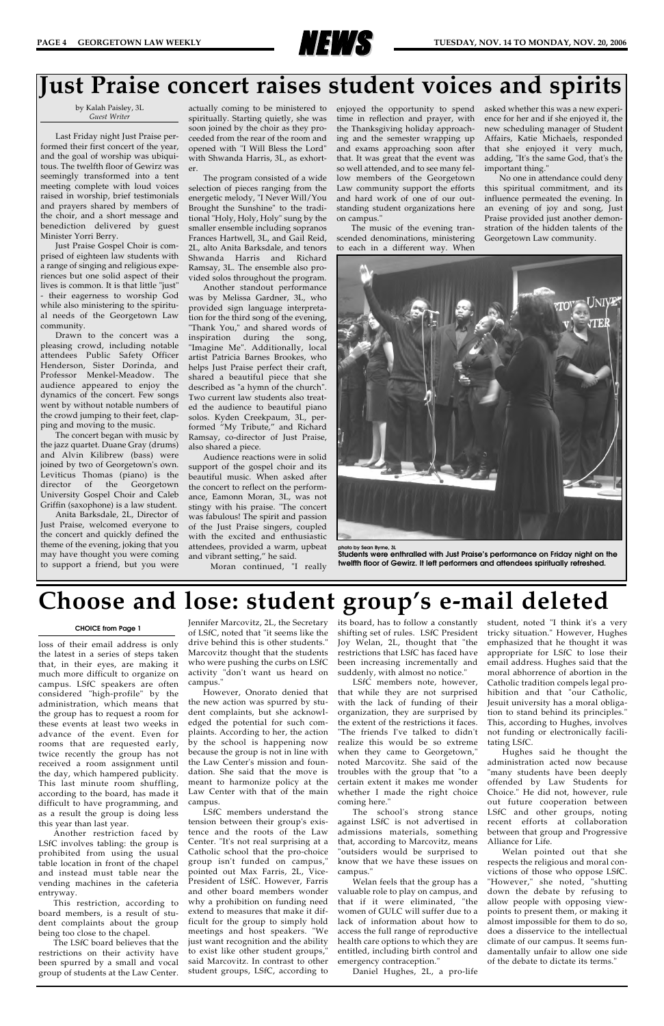

by Kalah Paisley, 3L *Guest Writer*

Last Friday night Just Praise performed their first concert of the year, and the goal of worship was ubiquitous. The twelfth floor of Gewirz was seemingly transformed into a tent meeting complete with loud voices raised in worship, brief testimonials and prayers shared by members of the choir, and a short message and benediction delivered by guest Minister Yorri Berry.

Just Praise Gospel Choir is comprised of eighteen law students with a range of singing and religious experiences but one solid aspect of their lives is common. It is that little "just" - their eagerness to worship God while also ministering to the spiritual needs of the Georgetown Law community.

Drawn to the concert was a pleasing crowd, including notable attendees Public Safety Officer Henderson, Sister Dorinda, and Professor Menkel-Meadow. The audience appeared to enjoy the dynamics of the concert. Few songs went by without notable numbers of the crowd jumping to their feet, clapping and moving to the music.

The concert began with music by the jazz quartet. Duane Gray (drums) and Alvin Kilibrew (bass) were joined by two of Georgetown's own. Leviticus Thomas (piano) is the director of the Georgetown University Gospel Choir and Caleb Griffin (saxophone) is a law student.

Anita Barksdale, 2L, Director of Just Praise, welcomed everyone to the concert and quickly defined the theme of the evening, joking that you may have thought you were coming to support a friend, but you were

actually coming to be ministered to spiritually. Starting quietly, she was soon joined by the choir as they proceeded from the rear of the room and opened with "I Will Bless the Lord" with Shwanda Harris, 3L, as exhorter.

The program consisted of a wide selection of pieces ranging from the energetic melody, "I Never Will/You Brought the Sunshine" to the traditional "Holy, Holy, Holy" sung by the smaller ensemble including sopranos Frances Hartwell, 3L, and Gail Reid, 2L, alto Anita Barksdale, and tenors Shwanda Harris and Richard Ramsay, 3L. The ensemble also provided solos throughout the program.

Another standout performance was by Melissa Gardner, 3L, who provided sign language interpretation for the third song of the evening, "Thank You," and shared words of inspiration during the song, "Imagine Me". Additionally, local artist Patricia Barnes Brookes, who helps Just Praise perfect their craft, shared a beautiful piece that she described as "a hymn of the church". Two current law students also treated the audience to beautiful piano solos. Kyden Creekpaum, 3L, performed "My Tribute," and Richard Ramsay, co-director of Just Praise, also shared a piece.

Audience reactions were in solid support of the gospel choir and its beautiful music. When asked after the concert to reflect on the performance, Eamonn Moran, 3L, was not stingy with his praise. "The concert was fabulous! The spirit and passion of the Just Praise singers, coupled with the excited and enthusiastic attendees, provided a warm, upbeat and vibrant setting," he said.

Moran continued, "I really

enjoyed the opportunity to spend time in reflection and prayer, with the Thanksgiving holiday approaching and the semester wrapping up and exams approaching soon after that. It was great that the event was so well attended, and to see many fellow members of the Georgetown Law community support the efforts and hard work of one of our outstanding student organizations here on campus."

The music of the evening transcended denominations, ministering to each in a different way. When

asked whether this was a new experience for her and if she enjoyed it, the new scheduling manager of Student Affairs, Katie Michaels, responded that she enjoyed it very much, adding, "It's the same God, that's the important thing."

No one in attendance could deny this spiritual commitment, and its influence permeated the evening. In an evening of joy and song, Just Praise provided just another demonstration of the hidden talents of the Georgetown Law community.



## **Just Praise concert raises student voices and spirits**

### **Choose and lose: student group's e-mail deleted**

loss of their email address is only the latest in a series of steps taken that, in their eyes, are making it much more difficult to organize on campus. LSfC speakers are often considered "high-profile" by the administration, which means that the group has to request a room for these events at least two weeks in advance of the event. Even for rooms that are requested early, twice recently the group has not received a room assignment until the day, which hampered publicity. This last minute room shuffling, according to the board, has made it difficult to have programming, and as a result the group is doing less this year than last year. Another restriction faced by LSfC involves tabling: the group is prohibited from using the usual table location in front of the chapel and instead must table near the vending machines in the cafeteria entryway. This restriction, according to board members, is a result of student complaints about the group being too close to the chapel. The LSfC board believes that the restrictions on their activity have been spurred by a small and vocal group of students at the Law Center.

Jennifer Marcovitz, 2L, the Secretary of LSfC, noted that "it seems like the drive behind this is other students." Marcovitz thought that the students who were pushing the curbs on LSfC activity "don't want us heard on campus."

However, Onorato denied that the new action was spurred by student complaints, but she acknowledged the potential for such complaints. According to her, the action by the school is happening now because the group is not in line with the Law Center's mission and foundation. She said that the move is meant to harmonize policy at the Law Center with that of the main campus. LSfC members understand the tension between their group's existence and the roots of the Law Center. "It's not real surprising at a Catholic school that the pro-choice group isn't funded on campus," pointed out Max Farris, 2L, Vice-President of LSfC. However, Farris and other board members wonder why a prohibition on funding need extend to measures that make it difficult for the group to simply hold meetings and host speakers. "We just want recognition and the ability to exist like other student groups," said Marcovitz. In contrast to other student groups, LSfC, according to

its board, has to follow a constantly shifting set of rules. LSfC President Joy Welan, 2L, thought that "the restrictions that LSfC has faced have been increasing incrementally and suddenly, with almost no notice."

LSfC members note, however, that while they are not surprised with the lack of funding of their organization, they are surprised by the extent of the restrictions it faces. "The friends I've talked to didn't realize this would be so extreme when they came to Georgetown," noted Marcovitz. She said of the troubles with the group that "to a certain extent it makes me wonder whether I made the right choice coming here." The school's strong stance against LSfC is not advertised in admissions materials, something that, according to Marcovitz, means "outsiders would be surprised to know that we have these issues on campus." Welan feels that the group has a valuable role to play on campus, and that if it were eliminated, "the women of GULC will suffer due to a lack of information about how to access the full range of reproductive health care options to which they are entitled, including birth control and emergency contraception."

Daniel Hughes, 2L, a pro-life

student, noted "I think it's a very tricky situation." However, Hughes emphasized that he thought it was appropriate for LSfC to lose their email address. Hughes said that the moral abhorrence of abortion in the Catholic tradition compels legal prohibition and that "our Catholic, Jesuit university has a moral obligation to stand behind its principles." This, according to Hughes, involves not funding or electronically facilitating LSfC.

Hughes said he thought the administration acted now because "many students have been deeply offended by Law Students for Choice." He did not, however, rule out future cooperation between LSfC and other groups, noting recent efforts at collaboration between that group and Progressive Alliance for Life. Welan pointed out that she respects the religious and moral convictions of those who oppose LSfC. "However," she noted, "shutting down the debate by refusing to allow people with opposing viewpoints to present them, or making it almost impossible for them to do so, does a disservice to the intellectual climate of our campus. It seems fundamentally unfair to allow one side of the debate to dictate its terms."

#### **CHOICE from Page 1**

**photo by Sean Byrne, 3L**

**Students were enthralled with Just Praise's performance on Friday night on the twelfth floor of Gewirz. It left performers and attendees spiritually refreshed.**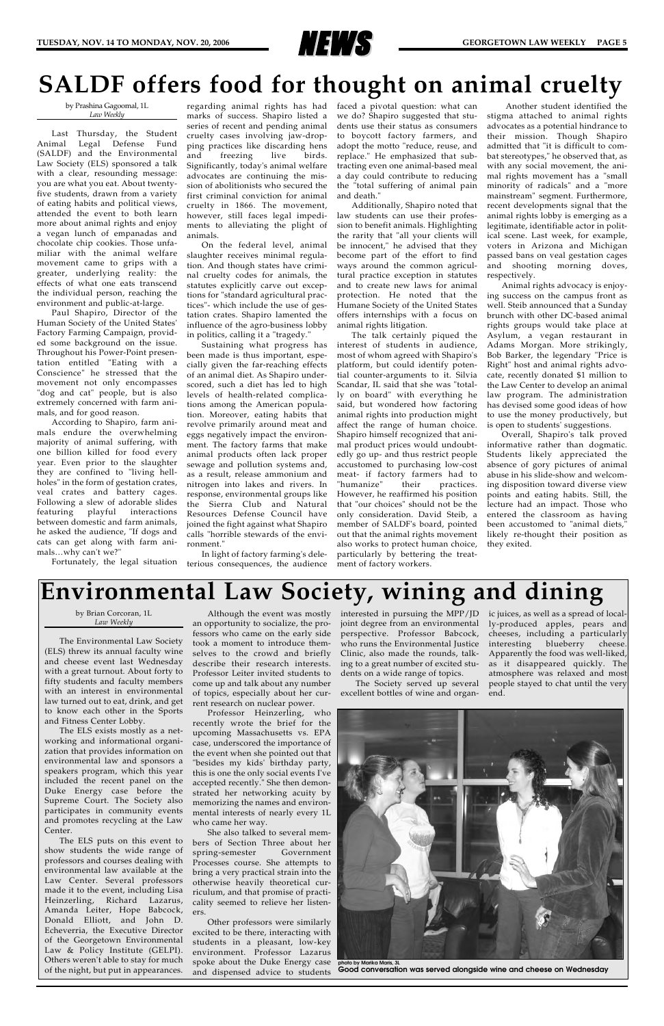

by Brian Corcoran, 1L *Law Weekly*

The Environmental Law Society (ELS) threw its annual faculty wine and cheese event last Wednesday with a great turnout. About forty to fifty students and faculty members with an interest in environmental law turned out to eat, drink, and get to know each other in the Sports and Fitness Center Lobby.

The ELS exists mostly as a networking and informational organization that provides information on environmental law and sponsors a speakers program, which this year included the recent panel on the Duke Energy case before the Supreme Court. The Society also participates in community events and promotes recycling at the Law Center. The ELS puts on this event to show students the wide range of professors and courses dealing with environmental law available at the Law Center. Several professors made it to the event, including Lisa Heinzerling, Richard Lazarus, Amanda Leiter, Hope Babcock, Donald Elliott, and John D. Echeverria, the Executive Director of the Georgetown Environmental Law & Policy Institute (GELPI). Others weren't able to stay for much of the night, but put in appearances.

Although the event was mostly an opportunity to socialize, the professors who came on the early side took a moment to introduce themselves to the crowd and briefly describe their research interests. Professor Leiter invited students to come up and talk about any number of topics, especially about her current research on nuclear power.

Professor Heinzerling, who recently wrote the brief for the upcoming Massachusetts vs. EPA case, underscored the importance of the event when she pointed out that "besides my kids' birthday party, this is one the only social events I've accepted recently." She then demonstrated her networking acuity by memorizing the names and environmental interests of nearly every 1L who came her way. She also talked to several members of Section Three about her spring-semester Government Processes course. She attempts to bring a very practical strain into the otherwise heavily theoretical curriculum, and that promise of practicality seemed to relieve her listeners.

Other professors were similarly excited to be there, interacting with students in a pleasant, low-key environment. Professor Lazarus spoke about the Duke Energy case and dispensed advice to students

joint degree from an environmental perspective. Professor Babcock, who runs the Environmental Justice Clinic, also made the rounds, talking to a great number of excited students on a wide range of topics.

The Society served up several excellent bottles of wine and organ-

interested in pursuing the MPP/JD ic juices, as well as a spread of locally-produced apples, pears and cheeses, including a particularly interesting blueberry cheese. Apparently the food was well-liked, as it disappeared quickly. The atmosphere was relaxed and most people stayed to chat until the very end.



by Prashina Gagoomal, 1L *Law Weekly*

Last Thursday, the Student Animal Legal Defense Fund (SALDF) and the Environmental Law Society (ELS) sponsored a talk with a clear, resounding message: you are what you eat. About twentyfive students, drawn from a variety of eating habits and political views, attended the event to both learn more about animal rights and enjoy a vegan lunch of empanadas and chocolate chip cookies. Those unfamiliar with the animal welfare movement came to grips with a greater, underlying reality: the effects of what one eats transcend the individual person, reaching the environment and public-at-large.

Paul Shapiro, Director of the Human Society of the United States' Factory Farming Campaign, provided some background on the issue. Throughout his Power-Point presentation entitled "Eating with a Conscience" he stressed that the movement not only encompasses "dog and cat" people, but is also extremely concerned with farm animals, and for good reason.

According to Shapiro, farm animals endure the overwhelming majority of animal suffering, with one billion killed for food every year. Even prior to the slaughter they are confined to "living hellholes" in the form of gestation crates, veal crates and battery cages. Following a slew of adorable slides featuring playful interactions between domestic and farm animals, he asked the audience, "If dogs and cats can get along with farm animals…why can't we?"

Fortunately, the legal situation

regarding animal rights has had marks of success. Shapiro listed a series of recent and pending animal cruelty cases involving jaw-dropping practices like discarding hens and freezing live birds. Significantly, today's animal welfare advocates are continuing the mission of abolitionists who secured the first criminal conviction for animal cruelty in 1866. The movement, however, still faces legal impediments to alleviating the plight of animals.

On the federal level, animal slaughter receives minimal regulation. And though states have criminal cruelty codes for animals, the statutes explicitly carve out exceptions for "standard agricultural practices"- which include the use of gestation crates. Shapiro lamented the influence of the agro-business lobby in politics, calling it a "tragedy."

Sustaining what progress has been made is thus important, especially given the far-reaching effects of an animal diet. As Shapiro underscored, such a diet has led to high levels of health-related complications among the American population. Moreover, eating habits that revolve primarily around meat and eggs negatively impact the environment. The factory farms that make animal products often lack proper sewage and pollution systems and, as a result, release ammonium and nitrogen into lakes and rivers. In response, environmental groups like the Sierra Club and Natural Resources Defense Council have joined the fight against what Shapiro calls "horrible stewards of the environment."

In light of factory farming's deleterious consequences, the audience faced a pivotal question: what can we do? Shapiro suggested that students use their status as consumers to boycott factory farmers, and adopt the motto "reduce, reuse, and replace." He emphasized that subtracting even one animal-based meal a day could contribute to reducing the "total suffering of animal pain and death."

Additionally, Shapiro noted that law students can use their profession to benefit animals. Highlighting the rarity that "all your clients will be innocent," he advised that they become part of the effort to find ways around the common agricultural practice exception in statutes and to create new laws for animal protection. He noted that the Humane Society of the United States offers internships with a focus on animal rights litigation.

The talk certainly piqued the interest of students in audience, most of whom agreed with Shapiro's platform, but could identify potential counter-arguments to it. Silvia Scandar, IL said that she was "totally on board" with everything he said, but wondered how factoring animal rights into production might affect the range of human choice. Shapiro himself recognized that animal product prices would undoubtedly go up- and thus restrict people accustomed to purchasing low-cost meat- if factory farmers had to "humanize" their practices. However, he reaffirmed his position that "our choices" should not be the only consideration. David Steib, a member of SALDF's board, pointed out that the animal rights movement also works to protect human choice, particularly by bettering the treatment of factory workers.

Another student identified the stigma attached to animal rights advocates as a potential hindrance to their mission. Though Shapiro admitted that "it is difficult to combat stereotypes," he observed that, as with any social movement, the animal rights movement has a "small minority of radicals" and a "more mainstream" segment. Furthermore, recent developments signal that the animal rights lobby is emerging as a legitimate, identifiable actor in political scene. Last week, for example, voters in Arizona and Michigan passed bans on veal gestation cages and shooting morning doves, respectively.

Animal rights advocacy is enjoying success on the campus front as well. Steib announced that a Sunday brunch with other DC-based animal rights groups would take place at Asylum, a vegan restaurant in Adams Morgan. More strikingly, Bob Barker, the legendary "Price is Right" host and animal rights advocate, recently donated \$1 million to the Law Center to develop an animal law program. The administration has devised some good ideas of how to use the money productively, but is open to students' suggestions.

Overall, Shapiro's talk proved informative rather than dogmatic. Students likely appreciated the absence of gory pictures of animal abuse in his slide-show and welcoming disposition toward diverse view points and eating habits. Still, the lecture had an impact. Those who entered the classroom as having been accustomed to "animal diets," likely re-thought their position as they exited.

## **SALDF offers food for thought on animal cruelty**

**photo by Marika Maris, 3L Good conversation was served alongside wine and cheese on Wednesday**

## **Environmental Law Society, wining and dining**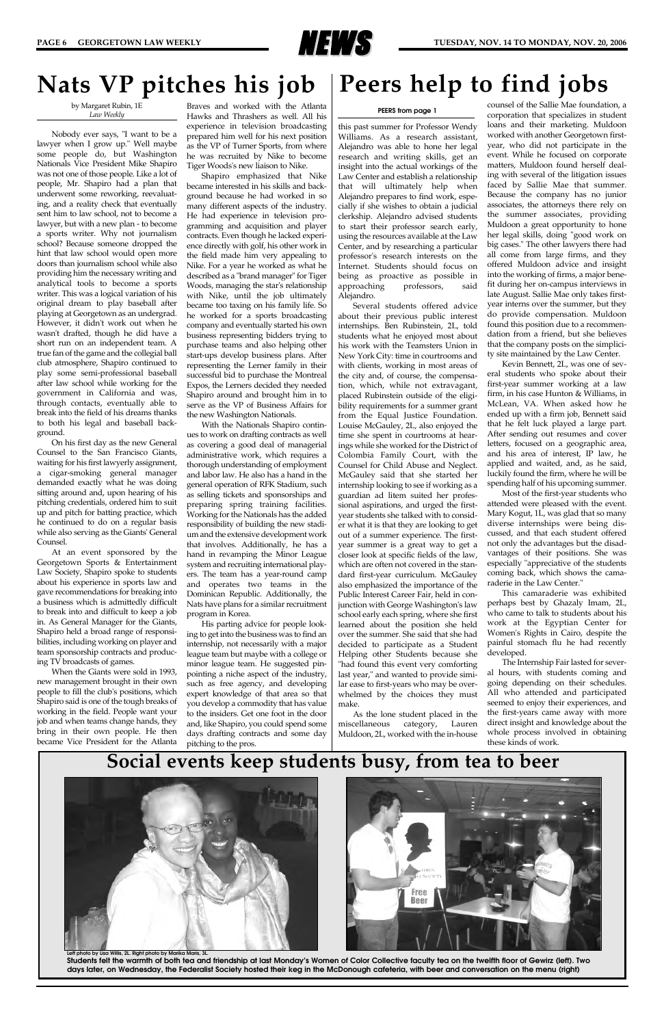

by Margaret Rubin, 1E *Law Weekly*

Nobody ever says, "I want to be a lawyer when I grow up." Well maybe some people do, but Washington Nationals Vice President Mike Shapiro was not one of those people. Like a lot of people, Mr. Shapiro had a plan that underwent some reworking, reevaluating, and a reality check that eventually sent him to law school, not to become a lawyer, but with a new plan - to become a sports writer. Why not journalism school? Because someone dropped the hint that law school would open more doors than journalism school while also providing him the necessary writing and analytical tools to become a sports writer. This was a logical variation of his original dream to play baseball after playing at Georgetown as an undergrad. However, it didn't work out when he wasn't drafted, though he did have a short run on an independent team. A true fan of the game and the collegial ball club atmosphere, Shapiro continued to play some semi-professional baseball after law school while working for the government in California and was, through contacts, eventually able to break into the field of his dreams thanks to both his legal and baseball background.

On his first day as the new General Counsel to the San Francisco Giants, waiting for his first lawyerly assignment, a cigar-smoking general manager demanded exactly what he was doing sitting around and, upon hearing of his pitching credentials, ordered him to suit up and pitch for batting practice, which he continued to do on a regular basis while also serving as the Giants' General Counsel.

At an event sponsored by the Georgetown Sports & Entertainment Law Society, Shapiro spoke to students about his experience in sports law and gave recommendations for breaking into a business which is admittedly difficult to break into and difficult to keep a job in. As General Manager for the Giants, Shapiro held a broad range of responsibilities, including working on player and team sponsorship contracts and producing TV broadcasts of games.

When the Giants were sold in 1993, new management brought in their own people to fill the club's positions, which Shapiro said is one of the tough breaks of working in the field. People want your job and when teams change hands, they bring in their own people. He then became Vice President for the Atlanta

Braves and worked with the Atlanta Hawks and Thrashers as well. All his experience in television broadcasting prepared him well for his next position as the VP of Turner Sports, from where he was recruited by Nike to become Tiger Woods's new liaison to Nike.

Shapiro emphasized that Nike became interested in his skills and background because he had worked in so many different aspects of the industry. He had experience in television programming and acquisition and player contracts. Even though he lacked experience directly with golf, his other work in the field made him very appealing to Nike. For a year he worked as what he described as a "brand manager" for Tiger Woods, managing the star's relationship with Nike, until the job ultimately became too taxing on his family life. So he worked for a sports broadcasting company and eventually started his own business representing bidders trying to purchase teams and also helping other start-ups develop business plans. After representing the Lerner family in their successful bid to purchase the Montreal Expos, the Lerners decided they needed Shapiro around and brought him in to serve as the VP of Business Affairs for the new Washington Nationals.

With the Nationals Shapiro continues to work on drafting contracts as well as covering a good deal of managerial administrative work, which requires a thorough understanding of employment and labor law. He also has a hand in the general operation of RFK Stadium, such as selling tickets and sponsorships and preparing spring training facilities. Working for the Nationals has the added responsibility of building the new stadium and the extensive development work that involves. Additionally, he has a hand in revamping the Minor League system and recruiting international players. The team has a year-round camp and operates two teams in the Dominican Republic. Additionally, the Nats have plans for a similar recruitment program in Korea.

His parting advice for people looking to get into the business was to find an internship, not necessarily with a major league team but maybe with a college or minor league team. He suggested pinpointing a niche aspect of the industry, such as free agency, and developing expert knowledge of that area so that you develop a commodity that has value to the insiders. Get one foot in the door and, like Shapiro, you could spend some days drafting contracts and some day pitching to the pros.

### **Nats VP pitches his job**

### **Social events keep students busy, from tea to beer**





**Students felt the warmth of both tea and friendship at last Monday's Women of Color Collective faculty tea on the twelfth floor of Gewirz (left). Two days later, on Wednesday, the Federalist Society hosted their keg in the McDonough cafeteria, with beer and conversation on the menu (right)**

this past summer for Professor Wendy Williams. As a research assistant, Alejandro was able to hone her legal research and writing skills, get an insight into the actual workings of the Law Center and establish a relationship that will ultimately help when Alejandro prepares to find work, especially if she wishes to obtain a judicial clerkship. Alejandro advised students to start their professor search early, using the resources available at the Law Center, and by researching a particular professor's research interests on the Internet. Students should focus on being as proactive as possible in approaching professors, said Alejandro.

Several students offered advice about their previous public interest internships. Ben Rubinstein, 2L, told students what he enjoyed most about his work with the Teamsters Union in New York City: time in courtrooms and with clients, working in most areas of the city and, of course, the compensation, which, while not extravagant, placed Rubinstein outside of the eligibility requirements for a summer grant from the Equal Justice Foundation. Louise McGauley, 2L, also enjoyed the time she spent in courtrooms at hearings while she worked for the District of Colombia Family Court, with the Counsel for Child Abuse and Neglect. McGauley said that she started her internship looking to see if working as a guardian ad litem suited her professional aspirations, and urged the firstyear students she talked with to consider what it is that they are looking to get out of a summer experience. The firstyear summer is a great way to get a closer look at specific fields of the law, which are often not covered in the standard first-year curriculum. McGauley also emphasized the importance of the Public Interest Career Fair, held in conjunction with George Washington's law school early each spring, where she first learned about the position she held over the summer. She said that she had decided to participate as a Student Helping other Students because she "had found this event very comforting last year," and wanted to provide similar ease to first-years who may be overwhelmed by the choices they must make.

As the lone student placed in the miscellaneous category, Lauren Muldoon, 2L, worked with the in-house counsel of the Sallie Mae foundation, a corporation that specializes in student loans and their marketing. Muldoon worked with another Georgetown firstyear, who did not participate in the event. While he focused on corporate matters, Muldoon found herself dealing with several of the litigation issues faced by Sallie Mae that summer. Because the company has no junior associates, the attorneys there rely on the summer associates, providing Muldoon a great opportunity to hone her legal skills, doing "good work on big cases." The other lawyers there had all come from large firms, and they offered Muldoon advice and insight into the working of firms, a major benefit during her on-campus interviews in late August. Sallie Mae only takes firstyear interns over the summer, but they do provide compensation. Muldoon found this position due to a recommendation from a friend, but she believes that the company posts on the simplicity site maintained by the Law Center.

Kevin Bennett, 2L, was one of several students who spoke about their first-year summer working at a law firm, in his case Hunton & Williams, in McLean, VA. When asked how he ended up with a firm job, Bennett said that he felt luck played a large part. After sending out resumes and cover letters, focused on a geographic area, and his area of interest, IP law, he applied and waited, and, as he said, luckily found the firm, where he will be spending half of his upcoming summer.

Most of the first-year students who attended were pleased with the event. Mary Kogut, 1L, was glad that so many diverse internships were being discussed, and that each student offered not only the advantages but the disadvantages of their positions. She was especially "appreciative of the students coming back, which shows the camaraderie in the Law Center."

This camaraderie was exhibited perhaps best by Ghazaly Imam, 2L, who came to talk to students about his work at the Egyptian Center for Women's Rights in Cairo, despite the painful stomach flu he had recently developed.

The Internship Fair lasted for several hours, with students coming and going depending on their schedules. All who attended and participated seemed to enjoy their experiences, and the first-years came away with more direct insight and knowledge about the whole process involved in obtaining these kinds of work.

## **Peers help to find jobs**

#### **PEERS from page 1**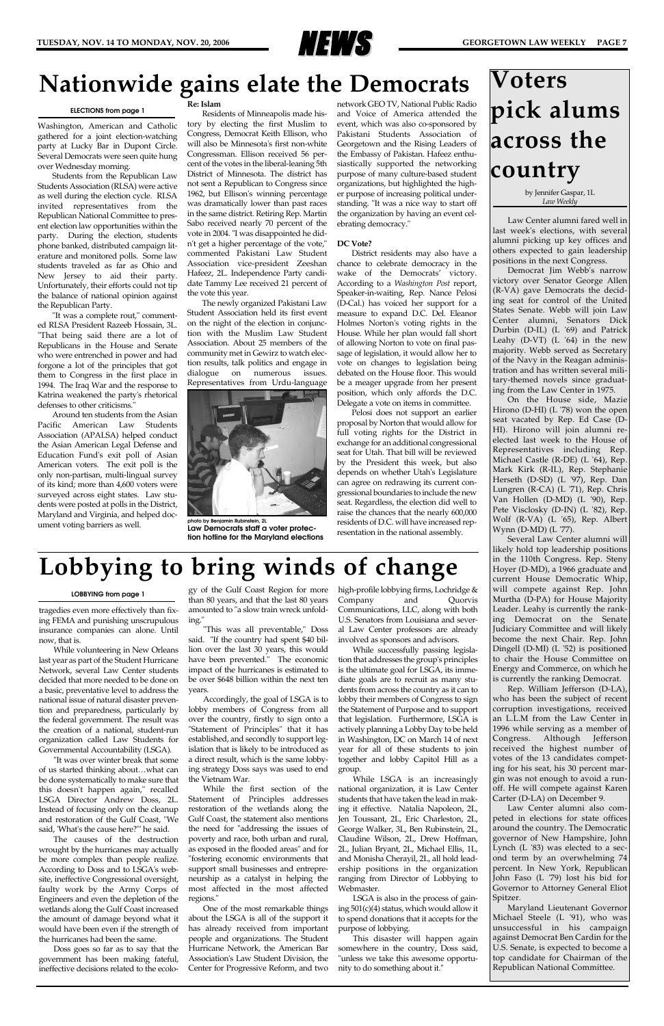

by Jennifer Gaspar, 1L *Law Weekly*

Law Center alumni fared well in last week's elections, with several alumni picking up key offices and others expected to gain leadership positions in the next Congress.

Democrat Jim Webb's narrow victory over Senator George Allen (R-VA) gave Democrats the deciding seat for control of the United States Senate. Webb will join Law Center alumni, Senators Dick Durbin (D-IL) (L '69) and Patrick Leahy (D-VT) (L '64) in the new majority. Webb served as Secretary of the Navy in the Reagan administration and has written several military-themed novels since graduating from the Law Center in 1975.

On the House side, Mazie Hirono (D-HI) (L '78) won the open seat vacated by Rep. Ed Case (D-HI). Hirono will join alumni reelected last week to the House of Representatives including Rep. Michael Castle (R-DE) (L '64), Rep. Mark Kirk (R-IL), Rep. Stephanie Herseth (D-SD) (L '97), Rep. Dan Lungren (R-CA) (L '71), Rep. Chris Van Hollen (D-MD) (L '90), Rep. Pete Visclosky (D-IN) (L '82), Rep. Wolf (R-VA) (L '65), Rep. Albert Wynn (D-MD) (L '77).

Several Law Center alumni will likely hold top leadership positions in the 110th Congress. Rep. Steny Hoyer (D-MD), a 1966 graduate and current House Democratic Whip, will compete against Rep. John Murtha (D-PA) for House Majority Leader. Leahy is currently the ranking Democrat on the Senate Judiciary Committee and will likely become the next Chair. Rep. John Dingell (D-MI) (L '52) is positioned to chair the House Committee on Energy and Commerce, on which he is currently the ranking Democrat.

Rep. William Jefferson (D-LA), who has been the subject of recent corruption investigations, received an L.L.M from the Law Center in 1996 while serving as a member of Congress. Although Jefferson received the highest number of votes of the 13 candidates competing for his seat, his 30 percent margin was not enough to avoid a runoff. He will compete against Karen Carter (D-LA) on December 9. Law Center alumni also competed in elections for state offices around the country. The Democratic governor of New Hampshire, John Lynch (L '83) was elected to a second term by an overwhelming 74 percent. In New York, Republican John Faso (L '79) lost his bid for Governor to Attorney General Eliot Spitzer. Maryland Lieutenant Governor Michael Steele (L '91), who was unsuccessful in his campaign against Democrat Ben Cardin for the U.S. Senate, is expected to become a top candidate for Chairman of the Republican National Committee.

### **Nationwide gains elate the Democrats**

Washington, American and Catholic gathered for a joint election-watching party at Lucky Bar in Dupont Circle. Several Democrats were seen quite hung over Wednesday morning.

Students from the Republican Law Students Association (RLSA) were active as well during the election cycle. RLSA invited representatives from the Republican National Committee to present election law opportunities within the party. During the election, students phone banked, distributed campaign literature and monitored polls. Some law students traveled as far as Ohio and New Jersey to aid their party. Unfortunately, their efforts could not tip the balance of national opinion against the Republican Party.

"It was a complete rout," commented RLSA President Razeeb Hossain, 3L. "That being said there are a lot of Republicans in the House and Senate who were entrenched in power and had forgone a lot of the principles that got them to Congress in the first place in 1994. The Iraq War and the response to Katrina weakened the party's rhetorical defenses to other criticisms."

Around ten students from the Asian Pacific American Law Students Association (APALSA) helped conduct the Asian American Legal Defense and Education Fund's exit poll of Asian American voters. The exit poll is the only non-partisan, multi-lingual survey of its kind; more than 4,600 voters were surveyed across eight states. Law students were posted at polls in the District, Maryland and Virginia, and helped document voting barriers as well.

#### **Re: Islam**

Residents of Minneapolis made history by electing the first Muslim to Congress, Democrat Keith Ellison, who will also be Minnesota's first non-white Congressman. Ellison received 56 percent of the votes in the liberal-leaning 5th District of Minnesota. The district has not sent a Republican to Congress since 1962, but Ellison's winning percentage was dramatically lower than past races in the same district. Retiring Rep. Martin Sabo received nearly 70 percent of the vote in 2004. "I was disappointed he didn't get a higher percentage of the vote," commented Pakistani Law Student Association vice-president Zeeshan Hafeez, 2L. Independence Party candidate Tammy Lee received 21 percent of the vote this year.

The newly organized Pakistani Law Student Association held its first event on the night of the election in conjunction with the Muslim Law Student Association. About 25 members of the community met in Gewirz to watch election results, talk politics and engage in dialogue on numerous issues. Representatives from Urdu-language

network GEO TV, National Public Radio and Voice of America attended the event, which was also co-sponsored by Pakistani Students Association of Georgetown and the Rising Leaders of the Embassy of Pakistan. Hafeez enthusiastically supported the networking purpose of many culture-based student organizations, but highlighted the higher purpose of increasing political understanding. "It was a nice way to start off the organization by having an event celebrating democracy."

#### **DC Vote?**

District residents may also have a chance to celebrate democracy in the wake of the Democrats' victory. According to a *Washington Post* report, Speaker-in-waiting, Rep. Nance Pelosi (D-Cal.) has voiced her support for a measure to expand D.C. Del. Eleanor Holmes Norton's voting rights in the House. While her plan would fall short of allowing Norton to vote on final passage of legislation, it would allow her to vote on changes to legislation being debated on the House floor. This would be a meager upgrade from her present position, which only affords the D.C. Delegate a vote on items in committee.

Pelosi does not support an earlier proposal by Norton that would allow for full voting rights for the District in exchange for an additional congressional seat for Utah. That bill will be reviewed by the President this week, but also depends on whether Utah's Legislature can agree on redrawing its current congressional boundaries to include the new seat. Regardless, the election did well to raise the chances that the nearly 600,000 residents of D.C. will have increased representation in the national assembly.

#### **ELECTIONS from page 1**

tragedies even more effectively than fixing FEMA and punishing unscrupulous insurance companies can alone. Until now, that is.

While volunteering in New Orleans last year as part of the Student Hurricane Network, several Law Center students decided that more needed to be done on a basic, preventative level to address the national issue of natural disaster prevention and preparedness, particularly by the federal government. The result was the creation of a national, student-run organization called Law Students for Governmental Accountability (LSGA). "It was over winter break that some of us started thinking about…what can be done systematically to make sure that this doesn't happen again," recalled LSGA Director Andrew Doss, 2L. Instead of focusing only on the cleanup and restoration of the Gulf Coast, "We said, 'What's the cause here?'" he said. The causes of the destruction wrought by the hurricanes may actually be more complex than people realize. According to Doss and to LSGA's website, ineffective Congressional oversight, faulty work by the Army Corps of Engineers and even the depletion of the wetlands along the Gulf Coast increased the amount of damage beyond what it would have been even if the strength of the hurricanes had been the same. Doss goes so far as to say that the government has been making fateful, ineffective decisions related to the ecolo-

gy of the Gulf Coast Region for more than 80 years, and that the last 80 years amounted to "a slow train wreck unfolding."

"This was all preventable," Doss said. "If the country had spent \$40 billion over the last 30 years, this would have been prevented." The economic impact of the hurricanes is estimated to be over \$648 billion within the next ten years.

Accordingly, the goal of LSGA is to lobby members of Congress from all over the country, firstly to sign onto a "Statement of Principles" that it has established, and secondly to support legislation that is likely to be introduced as a direct result, which is the same lobbying strategy Doss says was used to end the Vietnam War. While the first section of the Statement of Principles addresses restoration of the wetlands along the Gulf Coast, the statement also mentions the need for "addressing the issues of poverty and race, both urban and rural, as exposed in the flooded areas" and for "fostering economic environments that support small businesses and entrepreneurship as a catalyst in helping the most affected in the most affected regions." One of the most remarkable things about the LSGA is all of the support it has already received from important people and organizations. The Student Hurricane Network, the American Bar Association's Law Student Division, the Center for Progressive Reform, and two

high-profile lobbying firms, Lochridge & Company and Quorvis Communications, LLC, along with both U.S. Senators from Louisiana and several Law Center professors are already involved as sponsors and advisors.

While successfully passing legislation that addresses the group's principles is the ultimate goal for LSGA, its immediate goals are to recruit as many students from across the country as it can to lobby their members of Congress to sign the Statement of Purpose and to support that legislation. Furthermore, LSGA is actively planning a Lobby Day to be held in Washington, DC on March 14 of next year for all of these students to join together and lobby Capitol Hill as a group. While LSGA is an increasingly national organization, it is Law Center students that have taken the lead in making it effective. Natalia Napoleon, 2L, Jen Toussant, 2L, Eric Charleston, 2L, George Walker, 3L, Ben Rubinstein, 2L, Claudine Wilson, 2L, Drew Hoffman, 2L, Julian Bryant, 2L, Michael Ellis, 1L, and Monisha Cherayil, 2L, all hold leadership positions in the organization ranging from Director of Lobbying to Webmaster. LSGA is also in the process of gaining 501(c)(4) status, which would allow it to spend donations that it accepts for the purpose of lobbying. This disaster will happen again somewhere in the country, Doss said, "unless we take this awesome opportunity to do something about it."

### **Lobbying to bring winds of change**



**photo by Benjamin Rubinstein, 2L Law Democrats staff a voter protection hotline for the Maryland elections**

#### **LOBBYING from page 1**

# **Voters pick alums across the country**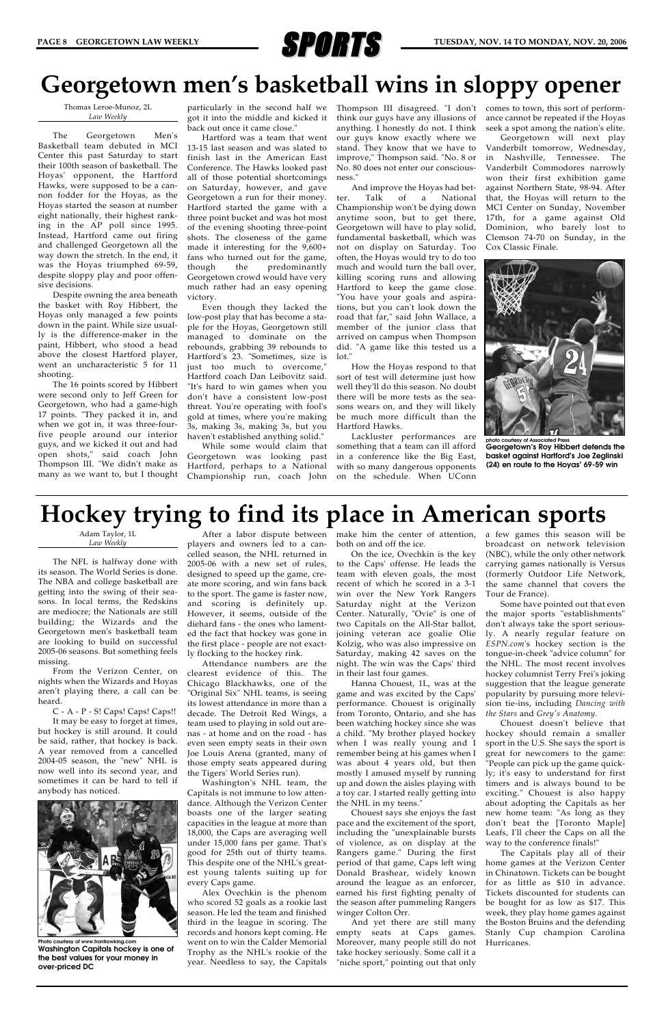

Thomas Leroe-Munoz, 2L *Law Weekly*

The Georgetown Men's Basketball team debuted in MCI Center this past Saturday to start their 100th season of basketball. The Hoyas' opponent, the Hartford Hawks, were supposed to be a cannon fodder for the Hoyas, as the Hoyas started the season at number eight nationally, their highest ranking in the AP poll since 1995. Instead, Hartford came out firing and challenged Georgetown all the way down the stretch. In the end, it was the Hoyas triumphed 69-59, despite sloppy play and poor offensive decisions.

Despite owning the area beneath the basket with Roy Hibbert, the Hoyas only managed a few points down in the paint. While size usually is the difference-maker in the paint, Hibbert, who stood a head above the closest Hartford player, went an uncharacteristic 5 for 11 shooting.

The 16 points scored by Hibbert were second only to Jeff Green for Georgetown, who had a game-high 17 points. "They packed it in, and when we got in, it was three-fourfive people around our interior guys, and we kicked it out and had open shots," said coach John Thompson III. "We didn't make as many as we want to, but I thought

got it into the middle and kicked it back out once it came close."

> And improve the Hoyas had better. Talk of a National Championship won't be dying down anytime soon, but to get there, Georgetown will have to play solid, fundamental basketball, which was not on display on Saturday. Too often, the Hoyas would try to do too much and would turn the ball over, killing scoring runs and allowing Hartford to keep the game close. "You have your goals and aspirations, but you can't look down the road that far," said John Wallace, a member of the junior class that arrived on campus when Thompson did. "A game like this tested us a lot.'

Hartford was a team that went 13-15 last season and was slated to finish last in the American East Conference. The Hawks looked past all of those potential shortcomings on Saturday, however, and gave Georgetown a run for their money. Hartford started the game with a three point bucket and was hot most of the evening shooting three-point shots. The closeness of the game made it interesting for the 9,600+ fans who turned out for the game, though the predominantly Georgetown crowd would have very much rather had an easy opening victory.

particularly in the second half we Thompson III disagreed. "I don't think our guys have any illusions of anything. I honestly do not. I think our guys know exactly where we stand. They know that we have to improve," Thompson said. "No. 8 or No. 80 does not enter our consciousness."

Even though they lacked the low-post play that has become a staple for the Hoyas, Georgetown still managed to dominate on the rebounds, grabbing 39 rebounds to Hartford's 23. "Sometimes, size is just too much to overcome," Hartford coach Dan Leibovitz said. "It's hard to win games when you don't have a consistent low-post threat. You're operating with fool's gold at times, where you're making 3s, making 3s, making 3s, but you haven't established anything solid."

While some would claim that Georgetown was looking past Hartford, perhaps to a National Championship run, coach John

How the Hoyas respond to that sort of test will determine just how well they'll do this season. No doubt there will be more tests as the seasons wears on, and they will likely be much more difficult than the Hartford Hawks.

Lackluster performances are something that a team can ill afford in a conference like the Big East, with so many dangerous opponents on the schedule. When UConn

comes to town, this sort of performance cannot be repeated if the Hoyas seek a spot among the nation's elite.

Georgetown will next play Vanderbilt tomorrow, Wednesday, in Nashville, Tennessee. The Vanderbilt Commodores narrowly won their first exhibition game against Northern State, 98-94. After that, the Hoyas will return to the MCI Center on Sunday, November 17th, for a game against Old Dominion, who barely lost to Clemson 74-70 on Sunday, in the Cox Classic Finale.

Adam Taylor, 1L *Law Weekly*

The NFL is halfway done with its season. The World Series is done. The NBA and college basketball are getting into the swing of their seasons. In local terms, the Redskins are mediocre; the Nationals are still building; the Wizards and the Georgetown men's basketball team are looking to build on successful 2005-06 seasons. But something feels missing.

From the Verizon Center, on nights when the Wizards and Hoyas aren't playing there, a call can be heard.

C - A - P - S! Caps! Caps! Caps!! It may be easy to forget at times, but hockey is still around. It could be said, rather, that hockey is back. A year removed from a cancelled 2004-05 season, the "new" NHL is now well into its second year, and sometimes it can be hard to tell if anybody has noticed.

players and owners led to a cancelled season, the NHL returned in 2005-06 with a new set of rules, designed to speed up the game, create more scoring, and win fans back to the sport. The game is faster now, and scoring is definitely up. However, it seems, outside of the diehard fans - the ones who lamented the fact that hockey was gone in the first place - people are not exactly flocking to the hockey rink.

After a labor dispute between make him the center of attention, both on and off the ice.

Attendance numbers are the clearest evidence of this. The Chicago Blackhawks, one of the "Original Six" NHL teams, is seeing its lowest attendance in more than a decade. The Detroit Red Wings, a team used to playing in sold out arenas - at home and on the road - has even seen empty seats in their own Joe Louis Arena (granted, many of those empty seats appeared during the Tigers' World Series run). Washington's NHL team, the Capitals is not immune to low attendance. Although the Verizon Center boasts one of the larger seating capacities in the league at more than 18,000, the Caps are averaging well under 15,000 fans per game. That's good for 25th out of thirty teams. This despite one of the NHL's greatest young talents suiting up for every Caps game. Alex Ovechkin is the phenom who scored 52 goals as a rookie last season. He led the team and finished third in the league in scoring. The records and honors kept coming. He went on to win the Calder Memorial Trophy as the NHL's rookie of the year. Needless to say, the Capitals

On the ice, Ovechkin is the key to the Caps' offense. He leads the team with eleven goals, the most recent of which he scored in a 3-1 win over the New York Rangers Saturday night at the Verizon Center. Naturally, "Ovie" is one of two Capitals on the All-Star ballot, joining veteran ace goalie Olie Kolzig, who was also impressive on Saturday, making 42 saves on the night. The win was the Caps' third in their last four games.

Hanna Chouest, 1L, was at the game and was excited by the Caps' performance. Chouest is originally from Toronto, Ontario, and she has been watching hockey since she was a child. "My brother played hockey when I was really young and I remember being at his games when I was about 4 years old, but then mostly I amused myself by running up and down the aisles playing with a toy car. I started really getting into the NHL in my teens." Chouest says she enjoys the fast pace and the excitement of the sport, including the "unexplainable bursts of violence, as on display at the Rangers game." During the first period of that game, Caps left wing Donald Brashear, widely known around the league as an enforcer, earned his first fighting penalty of the season after pummeling Rangers winger Colton Orr.

And yet there are still many empty seats at Caps games. Moreover, many people still do not take hockey seriously. Some call it a "niche sport," pointing out that only

a few games this season will be broadcast on network television (NBC), while the only other network carrying games nationally is Versus (formerly Outdoor Life Network, the same channel that covers the Tour de France).

Some have pointed out that even the major sports "establishments" don't always take the sport seriously. A nearly regular feature on *ESPN.com*'s hockey section is the tongue-in-cheek "advice column" for the NHL. The most recent involves hockey columnist Terry Frei's joking suggestion that the league generate popularity by pursuing more television tie-ins, including *Dancing with the Stars* and *Grey's Anatomy*.

Chouest doesn't believe that hockey should remain a smaller sport in the U.S. She says the sport is great for newcomers to the game: "People can pick up the game quickly; it's easy to understand for first timers and is always bound to be exciting." Chouest is also happy about adopting the Capitals as her new home team: "As long as they don't beat the [Toronto Maple] Leafs, I'll cheer the Caps on all the way to the conference finals!" The Capitals play all of their home games at the Verizon Center in Chinatown. Tickets can be bought for as little as \$10 in advance. Tickets discounted for students can be bought for as low as \$17. This week, they play home games against the Boston Bruins and the defending Stanly Cup champion Carolina Hurricanes.

### **Hockey trying to find its place in American sports**

### **Georgetown men's basketball wins in sloppy opener**



**Photo courtesy of www.frontrowking.com Washington Capitals hockey is one of the best values for your money in over-priced DC**



**photo courtesy of Associated Press Georgetown's Roy Hibbert defends the basket against Hartford's Joe Zeglinski (24) en route to the Hoyas' 69-59 win**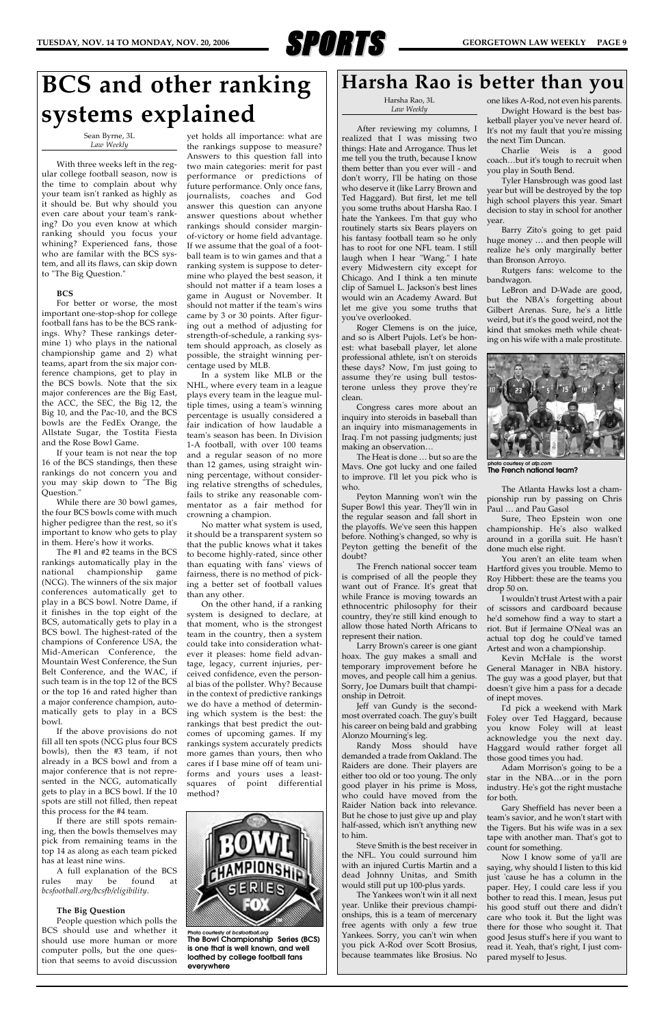

Harsha Rao, 3L *Law Weekly*

After reviewing my columns, I realized that I was missing two things: Hate and Arrogance. Thus let me tell you the truth, because I know them better than you ever will - and don't worry, I'll be hating on those who deserve it (like Larry Brown and Ted Haggard). But first, let me tell you some truths about Harsha Rao. I hate the Yankees. I'm that guy who routinely starts six Bears players on his fantasy football team so he only has to root for one NFL team. I still laugh when I hear "Wang." I hate every Midwestern city except for Chicago. And I think a ten minute clip of Samuel L. Jackson's best lines would win an Academy Award. But let me give you some truths that you've overlooked.

Roger Clemens is on the juice, and so is Albert Pujols. Let's be honest: what baseball player, let alone professional athlete, isn't on steroids these days? Now, I'm just going to assume they're using bull testosterone unless they prove they're clean.

Congress cares more about an inquiry into steroids in baseball than an inquiry into mismanagements in Iraq. I'm not passing judgments; just making an observation…

The Heat is done … but so are the Mavs. One got lucky and one failed to improve. I'll let you pick who is who.

Peyton Manning won't win the Super Bowl this year. They'll win in the regular season and fall short in the playoffs. We've seen this happen before. Nothing's changed, so why is Peyton getting the benefit of the doubt?

The French national soccer team is comprised of all the people they want out of France. It's great that while France is moving towards an ethnocentric philosophy for their country, they're still kind enough to allow those hated North Africans to represent their nation.

Larry Brown's career is one giant hoax. The guy makes a small and temporary improvement before he moves, and people call him a genius. Sorry, Joe Dumars built that championship in Detroit.

Jeff van Gundy is the secondmost overrated coach. The guy's built his career on being bald and grabbing Alonzo Mourning's leg.

Randy Moss should have demanded a trade from Oakland. The Raiders are done. Their players are either too old or too young. The only good player in his prime is Moss, who could have moved from the Raider Nation back into relevance. But he chose to just give up and play half-assed, which isn't anything new to him. Steve Smith is the best receiver in the NFL. You could surround him with an injured Curtis Martin and a dead Johnny Unitas, and Smith would still put up 100-plus yards. The Yankees won't win it all next year. Unlike their previous championships, this is a team of mercenary free agents with only a few true Yankees. Sorry, you can't win when you pick A-Rod over Scott Brosius, because teammates like Brosius. No

one likes A-Rod, not even his parents. Dwight Howard is the best bas-

ketball player you've never heard of. It's not my fault that you're missing the next Tim Duncan.

Charlie Weis is a good coach…but it's tough to recruit when you play in South Bend.

Tyler Hansbrough was good last year but will be destroyed by the top high school players this year. Smart decision to stay in school for another year.

Barry Zito's going to get paid huge money … and then people will realize he's only marginally better than Bronson Arroyo.

Rutgers fans: welcome to the bandwagon.

LeBron and D-Wade are good, but the NBA's forgetting about Gilbert Arenas. Sure, he's a little weird, but it's the good weird, not the kind that smokes meth while cheating on his wife with a male prostitute.

The Atlanta Hawks lost a championship run by passing on Chris Paul … and Pau Gasol

Sure, Theo Epstein won one championship. He's also walked around in a gorilla suit. He hasn't done much else right.

You aren't an elite team when Hartford gives you trouble. Memo to Roy Hibbert: these are the teams you drop 50 on.

I wouldn't trust Artest with a pair of scissors and cardboard because he'd somehow find a way to start a riot. But if Jermaine O'Neal was an actual top dog he could've tamed Artest and won a championship.

Kevin McHale is the worst General Manager in NBA history. The guy was a good player, but that doesn't give him a pass for a decade of inept moves.

I'd pick a weekend with Mark Foley over Ted Haggard, because you know Foley will at least acknowledge you the next day. Haggard would rather forget all

those good times you had.

Adam Morrison's going to be a star in the NBA…or in the porn industry. He's got the right mustache for both.

Gary Sheffield has never been a team's savior, and he won't start with the Tigers. But his wife was in a sex tape with another man. That's got to count for something.

Now I know some of ya'll are saying, why should I listen to this kid just 'cause he has a column in the paper. Hey, I could care less if you bother to read this. I mean, Jesus put his good stuff out there and didn't care who took it. But the light was there for those who sought it. That good Jesus stuff's here if you want to read it. Yeah, that's right, I just compared myself to Jesus.

### **Harsha Rao is better than you**

Sean Byrne, 3L *Law Weekly*

With three weeks left in the regular college football season, now is the time to complain about why your team isn't ranked as highly as it should be. But why should you even care about your team's ranking? Do you even know at which ranking should you focus your whining? Experienced fans, those who are familar with the BCS system, and all its flaws, can skip down to "The Big Question."

#### **BCS**

For better or worse, the most important one-stop-shop for college football fans has to be the BCS rankings. Why? These rankings determine 1) who plays in the national championship game and 2) what teams, apart from the six major conference champions, get to play in the BCS bowls. Note that the six major conferences are the Big East, the ACC, the SEC, the Big 12, the Big 10, and the Pac-10, and the BCS bowls are the FedEx Orange, the Allstate Sugar, the Tostita Fiesta and the Rose Bowl Game.

If your team is not near the top 16 of the BCS standings, then these rankings do not concern you and you may skip down to "The Big Question."

While there are 30 bowl games, the four BCS bowls come with much higher pedigree than the rest, so it's important to know who gets to play in them. Here's how it works.

The #1 and #2 teams in the BCS rankings automatically play in the national championship game (NCG). The winners of the six major conferences automatically get to play in a BCS bowl. Notre Dame, if it finishes in the top eight of the BCS, automatically gets to play in a BCS bowl. The highest-rated of the champions of Conference USA, the Mid-American Conference, the Mountain West Conference, the Sun Belt Conference, and the WAC, if such team is in the top 12 of the BCS or the top 16 and rated higher than a major conference champion, automatically gets to play in a BCS bowl.

If the above provisions do not fill all ten spots (NCG plus four BCS bowls), then the #3 team, if not already in a BCS bowl and from a major conference that is not represented in the NCG, automatically gets to play in a BCS bowl. If the 10 spots are still not filled, then repeat this process for the #4 team. If there are still spots remaining, then the bowls themselves may pick from remaining teams in the top 14 as along as each team picked has at least nine wins.

A full explanation of the BCS rules may be found at *bcsfootball.org/bcsfb/eligibility*.

#### **The Big Question**

People question which polls the BCS should use and whether it should use more human or more computer polls, but the one question that seems to avoid discussion



yet holds all importance: what are the rankings suppose to measure? Answers to this question fall into two main categories: merit for past performance or predictions of future performance. Only once fans, journalists, coaches and God answer this question can anyone answer questions about whether rankings should consider marginof-victory or home field advantage. If we assume that the goal of a football team is to win games and that a ranking system is suppose to determine who played the best season, it should not matter if a team loses a game in August or November. It should not matter if the team's wins came by 3 or 30 points. After figuring out a method of adjusting for strength-of-schedule, a ranking system should approach, as closely as possible, the straight winning percentage used by MLB.

In a system like MLB or the NHL, where every team in a league plays every team in the league multiple times, using a team's winning percentage is usually considered a fair indication of how laudable a team's season has been. In Division 1-A football, with over 100 teams and a regular season of no more than 12 games, using straight winning percentage, without considering relative strengths of schedules, fails to strike any reasonable commentator as a fair method for crowning a champion.

No matter what system is used, it should be a transparent system so that the public knows what it takes to become highly-rated, since other than equating with fans' views of fairness, there is no method of picking a better set of football values than any other.

On the other hand, if a ranking system is designed to declare, at that moment, who is the strongest team in the country, then a system could take into consideration whatever it pleases: home field advantage, legacy, current injuries, perceived confidence, even the personal bias of the pollster. Why? Because in the context of predictive rankings we do have a method of determining which system is the best: the rankings that best predict the outcomes of upcoming games. If my rankings system accurately predicts more games than yours, then who cares if I base mine off of team uniforms and yours uses a leastsquares of point differential method?

## **BCS and other ranking systems explained**

**Photo courtesty of** *bcsfootball.org* **The Bowl Championship Series (BCS) is one that is well known, and well loathed by college football fans everywhere**



**photo courtesy of** *afp.com* **The French national team?**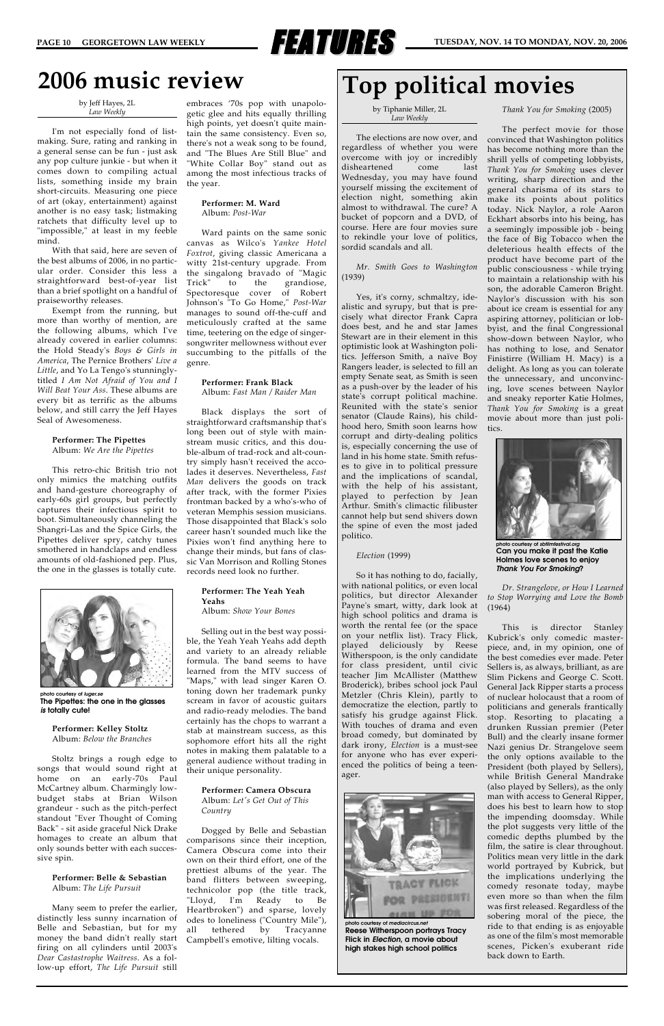

### **2006 music review**

by Jeff Hayes, 2L *Law Weekly*

I'm not especially fond of listmaking. Sure, rating and ranking in a general sense can be fun - just ask any pop culture junkie - but when it comes down to compiling actual lists, something inside my brain short-circuits. Measuring one piece of art (okay, entertainment) against another is no easy task; listmaking ratchets that difficulty level up to "impossible," at least in my feeble mind.

With that said, here are seven of the best albums of 2006, in no particular order. Consider this less a straightforward best-of-year list than a brief spotlight on a handful of praiseworthy releases.

Exempt from the running, but more than worthy of mention, are the following albums, which I've already covered in earlier columns: the Hold Steady's *Boys & Girls in America*, The Pernice Brothers' *Live a Little*, and Yo La Tengo's stunninglytitled *I Am Not Afraid of You and I Will Beat Your Ass*. These albums are every bit as terrific as the albums below, and still carry the Jeff Hayes Seal of Awesomeness.

#### **Performer: The Pipettes** Album: *We Are the Pipettes*

This retro-chic British trio not only mimics the matching outfits and hand-gesture choreography of early-60s girl groups, but perfectly captures their infectious spirit to boot. Simultaneously channeling the Shangri-Las and the Spice Girls, the Pipettes deliver spry, catchy tunes smothered in handclaps and endless amounts of old-fashioned pep. Plus, the one in the glasses is totally cute.

> **Performer: Kelley Stoltz** Album: *Below the Branches*

Stoltz brings a rough edge to songs that would sound right at home on an early-70s Paul McCartney album. Charmingly lowbudget stabs at Brian Wilson grandeur - such as the pitch-perfect standout "Ever Thought of Coming Back" - sit aside graceful Nick Drake homages to create an album that only sounds better with each successive spin.

> **Performer: Belle & Sebastian** Album: *The Life Pursuit*

Many seem to prefer the earlier, distinctly less sunny incarnation of Belle and Sebastian, but for my money the band didn't really start firing on all cylinders until 2003's *Dear Castastrophe Waitress*. As a follow-up effort, *The Life Pursuit* still

embraces '70s pop with unapologetic glee and hits equally thrilling high points, yet doesn't quite maintain the same consistency. Even so, there's not a weak song to be found, and "The Blues Are Still Blue" and "White Collar Boy" stand out as among the most infectious tracks of the year.

#### **Performer: M. Ward** Album: *Post-War*

Ward paints on the same sonic canvas as Wilco's *Yankee Hotel Foxtrot*, giving classic Americana a witty 21st-century upgrade. From the singalong bravado of "Magic Trick" to the grandiose, Spectoresque cover of Robert Johnson's "To Go Home," *Post-War* manages to sound off-the-cuff and meticulously crafted at the same time, teetering on the edge of singersongwriter mellowness without ever succumbing to the pitfalls of the genre.

#### **Performer: Frank Black**

Album: *Fast Man / Raider Man*

Black displays the sort of straightforward craftsmanship that's long been out of style with mainstream music critics, and this double-album of trad-rock and alt-country simply hasn't received the accolades it deserves. Nevertheless, *Fast Man* delivers the goods on track after track, with the former Pixies frontman backed by a who's-who of veteran Memphis session musicians. Those disappointed that Black's solo career hasn't sounded much like the Pixies won't find anything here to change their minds, but fans of classic Van Morrison and Rolling Stones records need look no further.

#### **Performer: The Yeah Yeah Yeahs**

Album: *Show Your Bones*

Selling out in the best way possible, the Yeah Yeah Yeahs add depth and variety to an already reliable formula. The band seems to have learned from the MTV success of "Maps," with lead singer Karen O. toning down her trademark punky scream in favor of acoustic guitars and radio-ready melodies. The band certainly has the chops to warrant a stab at mainstream success, as this sophomore effort hits all the right notes in making them palatable to a

general audience without trading in their unique personality.

> **Performer: Camera Obscura** Album: *Let's Get Out of This Country*

Dogged by Belle and Sebastian comparisons since their inception, Camera Obscura come into their own on their third effort, one of the prettiest albums of the year. The band flitters between sweeping, technicolor pop (the title track, "Lloyd, I'm Ready to Be Heartbroken") and sparse, lovely odes to loneliness ("Country Mile"), all tethered by Tracyanne Campbell's emotive, lilting vocals.



by Tiphanie Miller, 2L *Law Weekly*

The elections are now over, and regardless of whether you were overcome with joy or incredibly disheartened come last Wednesday, you may have found yourself missing the excitement of election night, something akin almost to withdrawal. The cure? A bucket of popcorn and a DVD, of course. Here are four movies sure to rekindle your love of politics, sordid scandals and all.

*Mr. Smith Goes to Washington* (1939)

Yes, it's corny, schmaltzy, idealistic and syrupy, but that is precisely what director Frank Capra does best, and he and star James Stewart are in their element in this optimistic look at Washington politics. Jefferson Smith, a naïve Boy Rangers leader, is selected to fill an empty Senate seat, as Smith is seen as a push-over by the leader of his state's corrupt political machine. Reunited with the state's senior senator (Claude Rains), his childhood hero, Smith soon learns how corrupt and dirty-dealing politics is, especially concerning the use of land in his home state. Smith refuses to give in to political pressure and the implications of scandal, with the help of his assistant, played to perfection by Jean Arthur. Smith's climactic filibuster cannot help but send shivers down the spine of even the most jaded politico.

#### *Election* (1999)

So it has nothing to do, facially, with national politics, or even local politics, but director Alexander Payne's smart, witty, dark look at high school politics and drama is worth the rental fee (or the space on your netflix list). Tracy Flick, played deliciously by Reese Witherspoon, is the only candidate for class president, until civic teacher Jim McAllister (Matthew Broderick), bribes school jock Paul Metzler (Chris Klein), partly to democratize the election, partly to satisfy his grudge against Flick. With touches of drama and even broad comedy, but dominated by dark irony, *Election* is a must-see for anyone who has ever experienced the politics of being a teenager.

*Thank You for Smoking* (2005)

The perfect movie for those convinced that Washington politics has become nothing more than the shrill yells of competing lobbyists, *Thank You for Smoking* uses clever writing, sharp direction and the general charisma of its stars to make its points about politics today. Nick Naylor, a role Aaron Eckhart absorbs into his being, has a seemingly impossible job - being the face of Big Tobacco when the deleterious health effects of the product have become part of the public consciousness - while trying to maintain a relationship with his son, the adorable Cameron Bright. Naylor's discussion with his son about ice cream is essential for any aspiring attorney, politician or lobbyist, and the final Congressional show-down between Naylor, who has nothing to lose, and Senator Finistirre (William H. Macy) is a delight. As long as you can tolerate the unnecessary, and unconvincing, love scenes between Naylor and sneaky reporter Katie Holmes, *Thank You for Smoking* is a great movie about more than just politics.

*Dr. Strangelove, or How I Learned to Stop Worrying and Love the Bomb* (1964)

This is director Stanley Kubrick's only comedic masterpiece, and, in my opinion, one of the best comedies ever made. Peter Sellers is, as always, brilliant, as are Slim Pickens and George C. Scott. General Jack Ripper starts a process of nuclear holocaust that a room of politicians and generals frantically stop. Resorting to placating a drunken Russian premier (Peter Bull) and the clearly insane former Nazi genius Dr. Strangelove seem the only options available to the President (both played by Sellers), while British General Mandrake (also played by Sellers), as the only man with access to General Ripper, does his best to learn how to stop the impending doomsday. While the plot suggests very little of the comedic depths plumbed by the film, the satire is clear throughout. Politics mean very little in the dark world portrayed by Kubrick, but the implications underlying the comedy resonate today, maybe even more so than when the film was first released. Regardless of the sobering moral of the piece, the ride to that ending is as enjoyable as one of the film's most memorable scenes, Picken's exuberant ride back down to Earth.

### **Top political movies**



**photo courtesy of** *sbfilmfestival.org* **Can you make it past the Katie Holmes love scenes to enjoy** *Thank You For Smoking***?**

**photo courtesy of** *mediacircus.net* **Reese Witherspoon portrays Tracy Flick in** *Election***, a movie about high stakes high school politics**



**photo courtesy of** *luger.se* **The Pipettes: the one in the glasses** *is* **totally cute!**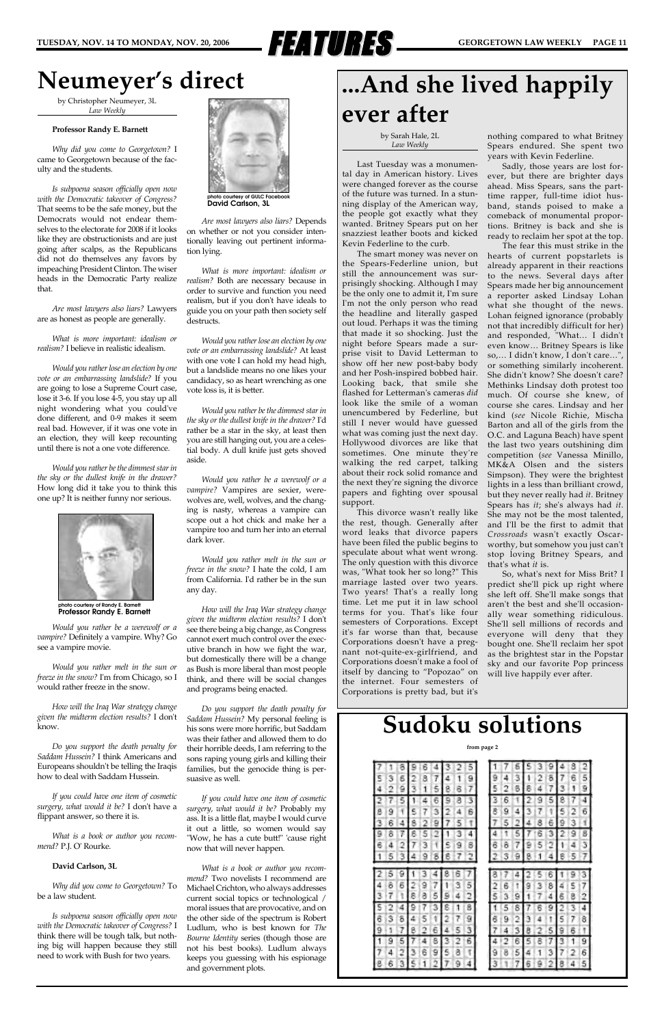

### **Neumeyer's direct**

by Christopher Neumeyer, 3L *Law Weekly*

#### **Professor Randy E. Barnett**

*Why did you come to Georgetown?* I came to Georgetown because of the faculty and the students.

*Is subpoena season officially open now with the Democratic takeover of Congress?* That seems to be the safe money, but the Democrats would not endear themselves to the electorate for 2008 if it looks like they are obstructionists and are just going after scalps, as the Republicans did not do themselves any favors by impeaching President Clinton. The wiser heads in the Democratic Party realize that.

*Are most lawyers also liars?* Lawyers are as honest as people are generally.

*What is more important: idealism or realism?* I believe in realistic idealism.

*Would you rather lose an election by one vote or an embarrassing landslide?* If you are going to lose a Supreme Court case, lose it 3-6. If you lose 4-5, you stay up all night wondering what you could've done different, and 0-9 makes it seem real bad. However, if it was one vote in an election, they will keep recounting until there is not a one vote difference.

*Would you rather be the dimmest star in the sky or the dullest knife in the drawer?* How long did it take you to think this one up? It is neither funny nor serious.

*Would you rather be a werewolf or a vampire?* Definitely a vampire. Why? Go see a vampire movie.

*Would you rather melt in the sun or freeze in the snow?* I'm from Chicago, so I would rather freeze in the snow.

*How will the Iraq War strategy change given the midterm election results?* I don't know.

*Do you support the death penalty for Saddam Hussein?* I think Americans and Europeans shouldn't be telling the Iraqis how to deal with Saddam Hussein.

*If you could have one item of cosmetic surgery, what would it be?* I don't have a flippant answer, so there it is.

*What is a book or author you recommend?* P.J. O' Rourke.

#### **David Carlson, 3L**

*Why did you come to Georgetown?* To be a law student.

*Is subpoena season officially open now with the Democratic takeover of Congress?* I think there will be tough talk, but nothing big will happen because they still need to work with Bush for two years.

*Are most lawyers also liars?* Depends on whether or not you consider intentionally leaving out pertinent information lying.

*What is more important: idealism or realism?* Both are necessary because in order to survive and function you need realism, but if you don't have ideals to guide you on your path then society self destructs.

*Would you rather lose an election by one vote or an embarrassing landslide?* At least with one vote I can hold my head high, but a landslide means no one likes your candidacy, so as heart wrenching as one vote loss is, it is better.

*Would you rather be the dimmest star in the sky or the dullest knife in the drawer?* I'd rather be a star in the sky, at least then you are still hanging out, you are a celestial body. A dull knife just gets shoved aside.

*Would you rather be a werewolf or a vampire?* Vampires are sexier, werewolves are, well, wolves, and the changing is nasty, whereas a vampire can scope out a hot chick and make her a vampire too and turn her into an eternal dark lover.

*Would you rather melt in the sun or freeze in the snow?* I hate the cold, I am from California. I'd rather be in the sun any day.

*How will the Iraq War strategy change given the midterm election results?* I don't see there being a big change, as Congress cannot exert much control over the executive branch in how we fight the war, but domestically there will be a change as Bush is more liberal than most people think, and there will be social changes and programs being enacted.

*Do you support the death penalty for Saddam Hussein?* My personal feeling is his sons were more horrific, but Saddam was their father and allowed them to do their horrible deeds, I am referring to the sons raping young girls and killing their families, but the genocide thing is persuasive as well.

*If you could have one item of cosmetic surgery, what would it be?* Probably my ass. It is a little flat, maybe I would curve it out a little, so women would say "Wow, he has a cute butt!" 'cause right now that will never happen.

*What is a book or author you recommend?* Two novelists I recommend are Michael Crichton, who always addresses current social topics or technological / moral issues that are provocative, and on the other side of the spectrum is Robert Ludlum, who is best known for *The Bourne Identity* series (though those are not his best books). Ludlum always keeps you guessing with his espionage and government plots.

|   |   |   |   |   |   | 5 |   |   |   |   |   |   |   |   |   |
|---|---|---|---|---|---|---|---|---|---|---|---|---|---|---|---|
|   | 6 | R | 7 |   |   | 9 | ⊶ |   | я |   | 2 | õ |   |   | 5 |
|   |   |   |   |   |   |   |   |   |   |   |   |   |   |   | 9 |
|   |   |   |   |   |   | 3 |   |   |   |   |   |   |   |   | 4 |
| 9 |   |   | 3 |   |   | 6 |   | 9 | 4 | ٦ | 7 | 1 | 5 | 2 | б |
|   |   |   |   |   |   |   |   |   |   |   |   |   | 9 |   |   |
|   |   |   |   |   |   | 4 |   |   |   |   |   |   |   | я | 8 |
|   | 2 |   |   | c | 9 | 8 |   | ö | 7 |   | 5 |   | ı |   | э |
|   |   |   |   | 8 |   |   |   |   |   |   |   |   |   |   |   |
|   |   |   |   |   |   |   |   |   |   |   |   |   |   |   |   |
|   | 9 |   |   |   |   |   |   |   | 4 |   |   | 6 |   |   | 3 |
| ö | 6 | 9 | 7 |   | 3 | 5 | 2 | 6 |   | 9 | 3 | 8 |   | 5 | 7 |
|   |   |   |   |   |   | 5 | 5 |   |   |   |   |   |   |   |   |
|   |   |   |   |   |   | 8 |   |   | 8 |   |   |   |   |   | 4 |
| 3 | 8 | ц | ١ |   |   | 9 | õ | я |   |   |   |   | ۹ |   | 8 |
|   |   |   |   |   |   | 3 |   |   |   |   |   |   |   |   |   |
|   |   |   |   |   |   | 6 |   |   |   |   |   |   |   |   | 9 |
|   | 0 | 6 | 9 | 6 | 8 |   | э | ద | 5 |   |   | 3 |   |   | 6 |
|   |   |   |   |   |   |   | 3 |   |   |   |   |   | 8 |   |   |

## **...And she lived happily ever after**

#### by Sarah Hale, 2L *Law Weekly*

Last Tuesday was a monumental day in American history. Lives were changed forever as the course of the future was turned. In a stunning display of the American way, the people got exactly what they wanted. Britney Spears put on her snazziest leather boots and kicked Kevin Federline to the curb.

The smart money was never on the Spears-Federline union, but still the announcement was surprisingly shocking. Although I may be the only one to admit it, I'm sure I'm not the only person who read the headline and literally gasped out loud. Perhaps it was the timing that made it so shocking. Just the night before Spears made a surprise visit to David Letterman to show off her new post-baby body and her Posh-inspired bobbed hair. Looking back, that smile she flashed for Letterman's cameras *did* look like the smile of a woman unencumbered by Federline, but still I never would have guessed what was coming just the next day. Hollywood divorces are like that sometimes. One minute they're walking the red carpet, talking about their rock solid romance and the next they're signing the divorce papers and fighting over spousal support.

This divorce wasn't really like the rest, though. Generally after word leaks that divorce papers have been filed the public begins to speculate about what went wrong. The only question with this divorce was, "What took her so long?" This marriage lasted over two years. Two years! That's a really long time. Let me put it in law school terms for you. That's like four semesters of Corporations. Except it's far worse than that, because Corporations doesn't have a pregnant not-quite-ex-girlfriend, and Corporations doesn't make a fool of itself by dancing to "Popozao" on the internet. Four semesters of Corporations is pretty bad, but it's

nothing compared to what Britney Spears endured. She spent two years with Kevin Federline.

Sadly, those years are lost forever, but there are brighter days ahead. Miss Spears, sans the parttime rapper, full-time idiot husband, stands poised to make a comeback of monumental proportions. Britney is back and she is ready to reclaim her spot at the top.

The fear this must strike in the hearts of current popstarlets is already apparent in their reactions to the news. Several days after Spears made her big announcement a reporter asked Lindsay Lohan what she thought of the news. Lohan feigned ignorance (probably not that incredibly difficult for her) and responded, "What… I didn't even know… Britney Spears is like so,… I didn't know, I don't care…", or something similarly incoherent. She didn't know? She doesn't care? Methinks Lindsay doth protest too much. Of course she knew, of course she cares. Lindsay and her kind (*see* Nicole Richie, Mischa Barton and all of the girls from the O.C. and Laguna Beach) have spent the last two years outshining dim competition (*see* Vanessa Minillo, MK&A Olsen and the sisters Simpson). They were the brightest lights in a less than brilliant crowd, but they never really had *it*. Britney Spears has *it*; she's always had *it*. She may not be the most talented, and I'll be the first to admit that *Crossroads* wasn't exactly Oscarworthy, but somehow you just can't stop loving Britney Spears, and that's what *it* is.

So, what's next for Miss Brit? I predict she'll pick up right where she left off. She'll make songs that aren't the best and she'll occasionally wear something ridiculous. She'll sell millions of records and everyone will deny that they bought one. She'll reclaim her spot as the brightest star in the Popstar sky and our favorite Pop princess will live happily ever after.



**photo courtesy of Randy E. Barnett Professor Randy E. Barnett**



**David Carlson, 3L**

### **Sudoku solutions**

#### **from page 2**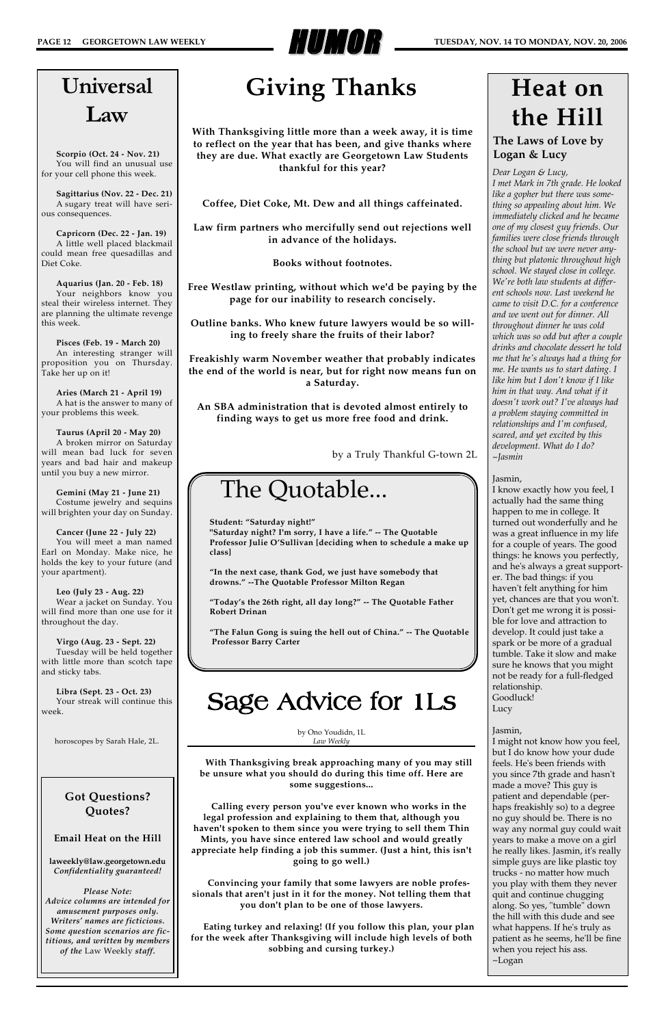

### **The Laws of Love by Logan & Lucy**

# **Heat on the Hill**

### The Quotable...

**Student: "Saturday night!"**

**"Saturday night? I'm sorry, I have a life." -- The Quotable Professor Julie O'Sullivan [deciding when to schedule a make up class]**

**"In the next case, thank God, we just have somebody that drowns." --The Quotable Professor Milton Regan**

**"Today's the 26th right, all day long?" -- The Quotable Father Robert Drinan**

**"The Falun Gong is suing the hell out of China." -- The Quotable Professor Barry Carter**

# Universal Law

**Scorpio (Oct. 24 - Nov. 21)** You will find an unusual use for your cell phone this week.

**Sagittarius (Nov. 22 - Dec. 21)** A sugary treat will have serious consequences.

**Capricorn (Dec. 22 - Jan. 19)** A little well placed blackmail could mean free quesadillas and Diet Coke.

**Aquarius (Jan. 20 - Feb. 18)** Your neighbors know you steal their wireless internet. They are planning the ultimate revenge this week.

**Pisces (Feb. 19 - March 20)** An interesting stranger will proposition you on Thursday. Take her up on it!

**Aries (March 21 - April 19)** A hat is the answer to many of your problems this week.

**Taurus (April 20 - May 20)** A broken mirror on Saturday will mean bad luck for seven years and bad hair and makeup until you buy a new mirror.

**Gemini (May 21 - June 21)** Costume jewelry and sequins will brighten your day on Sunday.

**Cancer (June 22 - July 22)** You will meet a man named Earl on Monday. Make nice, he holds the key to your future (and your apartment).

**Leo (July 23 - Aug. 22)** Wear a jacket on Sunday. You will find more than one use for it throughout the day.

**Virgo (Aug. 23 - Sept. 22)** Tuesday will be held together with little more than scotch tape and sticky tabs.

**Libra (Sept. 23 - Oct. 23)** Your streak will continue this week.

**Got Questions? Quotes?**

**Email Heat on the Hill** 

**laweekly@law.georgetown.edu** *Confidentiality guaranteed!*

*Please Note: Advice columns are intended for amusement purposes only. Writers' names are ficticious. Some question scenarios are fictitious, and written by members of the* Law Weekly *staff.*

by Ono Youdidn, 1L *Law Weekly*

**With Thanksgiving break approaching many of you may still be unsure what you should do during this time off. Here are some suggestions...**

**Calling every person you've ever known who works in the legal profession and explaining to them that, although you haven't spoken to them since you were trying to sell them Thin Mints, you have since entered law school and would greatly appreciate help finding a job this summer. (Just a hint, this isn't going to go well.)**

**Convincing your family that some lawyers are noble professionals that aren't just in it for the money. Not telling them that you don't plan to be one of those lawyers.**

**Eating turkey and relaxing! (If you follow this plan, your plan for the week after Thanksgiving will include high levels of both sobbing and cursing turkey.)**

### Sage Advice for 1Ls

# **Giving Thanks**

**With Thanksgiving little more than a week away, it is time to reflect on the year that has been, and give thanks where they are due. What exactly are Georgetown Law Students thankful for this year?**

**Coffee, Diet Coke, Mt. Dew and all things caffeinated.** 

**Law firm partners who mercifully send out rejections well in advance of the holidays.** 

**Books without footnotes.**

**Free Westlaw printing, without which we'd be paying by the page for our inability to research concisely.** 

**Outline banks. Who knew future lawyers would be so willing to freely share the fruits of their labor?**

**Freakishly warm November weather that probably indicates the end of the world is near, but for right now means fun on a Saturday.**

**An SBA administration that is devoted almost entirely to finding ways to get us more free food and drink.**

by a Truly Thankful G-town 2L

*Dear Logan & Lucy, I met Mark in 7th grade. He looked like a gopher but there was something so appealing about him. We immediately clicked and he became one of my closest guy friends. Our families were close friends through the school but we were never anything but platonic throughout high school. We stayed close in college. We're both law students at different schools now. Last weekend he came to visit D.C. for a conference and we went out for dinner. All throughout dinner he was cold which was so odd but after a couple drinks and chocolate dessert he told me that he's always had a thing for me. He wants us to start dating. I like him but I don't know if I like him in that way. And what if it doesn't work out? I've always had a problem staying committed in relationships and I'm confused, scared, and yet excited by this development. What do I do? ~Jasmin*

#### Jasmin,

I know exactly how you feel, I actually had the same thing happen to me in college. It turned out wonderfully and he was a great influence in my life for a couple of years. The good things: he knows you perfectly, and he's always a great supporter. The bad things: if you haven't felt anything for him yet, chances are that you won't. Don't get me wrong it is possible for love and attraction to develop. It could just take a spark or be more of a gradual tumble. Take it slow and make sure he knows that you might not be ready for a full-fledged relationship. Goodluck! Lucy

#### Jasmin,

I might not know how you feel, but I do know how your dude feels. He's been friends with you since 7th grade and hasn't made a move? This guy is patient and dependable (perhaps freakishly so) to a degree no guy should be. There is no way any normal guy could wait years to make a move on a girl he really likes. Jasmin, it's really simple guys are like plastic toy trucks - no matter how much you play with them they never quit and continue chugging along. So yes, "tumble" down the hill with this dude and see what happens. If he's truly as patient as he seems, he'll be fine when you reject his ass. ~Logan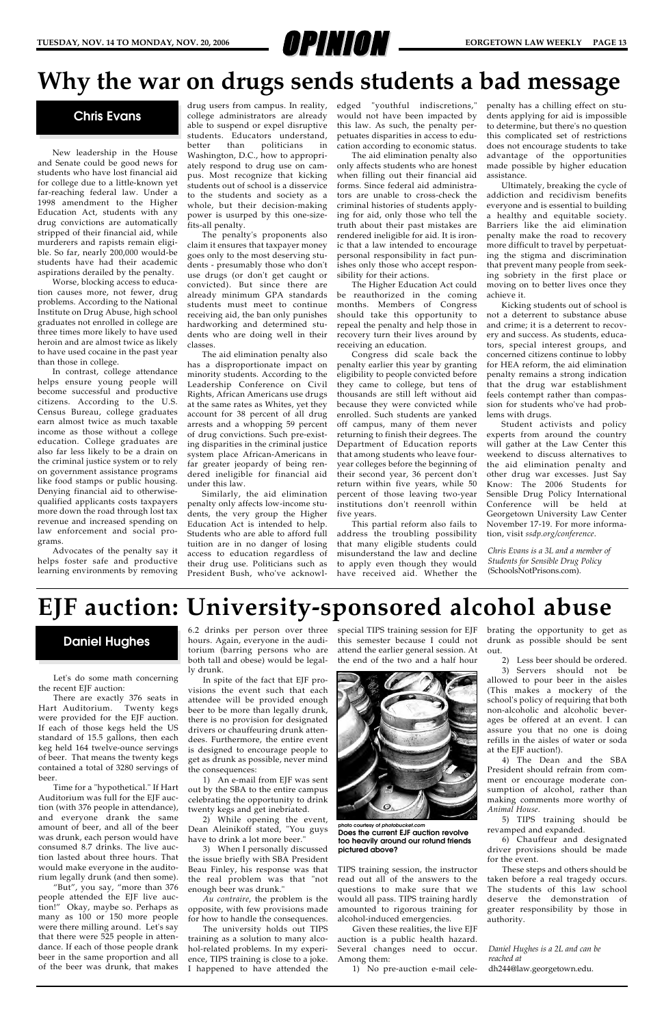

New leadership in the House and Senate could be good news for students who have lost financial aid for college due to a little-known yet far-reaching federal law. Under a 1998 amendment to the Higher Education Act, students with any drug convictions are automatically stripped of their financial aid, while murderers and rapists remain eligible. So far, nearly 200,000 would-be students have had their academic aspirations derailed by the penalty.

Worse, blocking access to education causes more, not fewer, drug problems. According to the National Institute on Drug Abuse, high school graduates not enrolled in college are three times more likely to have used heroin and are almost twice as likely to have used cocaine in the past year than those in college.

In contrast, college attendance helps ensure young people will become successful and productive citizens. According to the U.S. Census Bureau, college graduates earn almost twice as much taxable income as those without a college education. College graduates are also far less likely to be a drain on the criminal justice system or to rely on government assistance programs like food stamps or public housing. Denying financial aid to otherwisequalified applicants costs taxpayers more down the road through lost tax revenue and increased spending on law enforcement and social programs.

Advocates of the penalty say it helps foster safe and productive learning environments by removing

drug users from campus. In reality, college administrators are already able to suspend or expel disruptive students. Educators understand, better than politicians in Washington, D.C., how to appropriately respond to drug use on campus. Most recognize that kicking students out of school is a disservice to the students and society as a whole, but their decision-making power is usurped by this one-sizefits-all penalty.

The penalty's proponents also claim it ensures that taxpayer money goes only to the most deserving students - presumably those who don't use drugs (or don't get caught or convicted). But since there are already minimum GPA standards students must meet to continue receiving aid, the ban only punishes hardworking and determined students who are doing well in their classes.

The aid elimination penalty also has a disproportionate impact on minority students. According to the Leadership Conference on Civil Rights, African Americans use drugs at the same rates as Whites, yet they account for 38 percent of all drug arrests and a whopping 59 percent of drug convictions. Such pre-existing disparities in the criminal justice system place African-Americans in far greater jeopardy of being rendered ineligible for financial aid under this law.

Similarly, the aid elimination penalty only affects low-income students, the very group the Higher Education Act is intended to help. Students who are able to afford full tuition are in no danger of losing access to education regardless of their drug use. Politicians such as President Bush, who've acknowledged "youthful indiscretions," would not have been impacted by this law. As such, the penalty perpetuates disparities in access to education according to economic status.

The aid elimination penalty also only affects students who are honest when filling out their financial aid forms. Since federal aid administrators are unable to cross-check the criminal histories of students applying for aid, only those who tell the truth about their past mistakes are rendered ineligible for aid. It is ironic that a law intended to encourage personal responsibility in fact punishes only those who accept responsibility for their actions.

The Higher Education Act could be reauthorized in the coming months. Members of Congress should take this opportunity to repeal the penalty and help those in recovery turn their lives around by receiving an education.

2) While opening the event, Dean Aleinikoff stated, "You guys have to drink a lot more beer.'

Congress did scale back the penalty earlier this year by granting eligibility to people convicted before they came to college, but tens of thousands are still left without aid because they were convicted while enrolled. Such students are yanked off campus, many of them never returning to finish their degrees. The Department of Education reports that among students who leave fouryear colleges before the beginning of their second year, 36 percent don't return within five years, while 50 percent of those leaving two-year institutions don't reenroll within five years.

This partial reform also fails to address the troubling possibility that many eligible students could misunderstand the law and decline to apply even though they would have received aid. Whether the penalty has a chilling effect on students applying for aid is impossible to determine, but there's no question this complicated set of restrictions does not encourage students to take advantage of the opportunities made possible by higher education assistance.

Ultimately, breaking the cycle of addiction and recidivism benefits everyone and is essential to building a healthy and equitable society. Barriers like the aid elimination penalty make the road to recovery more difficult to travel by perpetuating the stigma and discrimination that prevent many people from seeking sobriety in the first place or moving on to better lives once they achieve it.

Kicking students out of school is not a deterrent to substance abuse and crime; it is a deterrent to recovery and success. As students, educators, special interest groups, and concerned citizens continue to lobby for HEA reform, the aid elimination penalty remains a strong indication that the drug war establishment feels contempt rather than compassion for students who've had problems with drugs.

Student activists and policy experts from around the country will gather at the Law Center this weekend to discuss alternatives to the aid elimination penalty and other drug war excesses. Just Say Know: The 2006 Students for Sensible Drug Policy International Conference will be held at Georgetown University Law Center November 17-19. For more information, visit *ssdp.org/conference*.

Let's do some math concerning the recent EJF auction:

There are exactly 376 seats in Hart Auditorium. Twenty kegs were provided for the EJF auction. If each of those kegs held the US standard of 15.5 gallons, then each keg held 164 twelve-ounce servings

of beer. That means the twenty kegs contained a total of 3280 servings of beer.

Time for a "hypothetical." If Hart Auditorium was full for the EJF auction (with 376 people in attendance), and everyone drank the same amount of beer, and all of the beer was drunk, each person would have consumed 8.7 drinks. The live auction lasted about three hours. That would make everyone in the auditorium legally drunk (and then some).

"But", you say, "more than 376 people attended the EJF live auction!" Okay, maybe so. Perhaps as many as 100 or 150 more people were there milling around. Let's say that there were 525 people in attendance. If each of those people drank beer in the same proportion and all of the beer was drunk, that makes

6.2 drinks per person over three hours. Again, everyone in the auditorium (barring persons who are both tall and obese) would be legally drunk.

In spite of the fact that EJF provisions the event such that each attendee will be provided enough beer to be more than legally drunk, there is no provision for designated drivers or chauffeuring drunk attendees. Furthermore, the entire event is designed to encourage people to

get as drunk as possible, never mind the consequences:

1) An e-mail from EJF was sent out by the SBA to the entire campus celebrating the opportunity to drink twenty kegs and get inebriated.

3) When I personally discussed the issue briefly with SBA President Beau Finley, his response was that the real problem was that "not enough beer was drunk."

*Au contraire*, the problem is the opposite, with few provisions made for how to handle the consequences.

The university holds out TIPS training as a solution to many alcohol-related problems. In my experience, TIPS training is close to a joke. I happened to have attended the

special TIPS training session for EJF this semester because I could not attend the earlier general session. At the end of the two and a half hour



TIPS training session, the instructor read out all of the answers to the questions to make sure that we would all pass. TIPS training hardly amounted to rigorous training for alcohol-induced emergencies.

Given these realities, the live EJF auction is a public health hazard. Several changes need to occur. Among them:

1) No pre-auction e-mail cele-

brating the opportunity to get as drunk as possible should be sent out.

2) Less beer should be ordered. 3) Servers should not be allowed to pour beer in the aisles (This makes a mockery of the school's policy of requiring that both non-alcoholic and alcoholic beverages be offered at an event. I can assure you that no one is doing refills in the aisles of water or soda at the EJF auction!). 4) The Dean and the SBA President should refrain from comment or encourage moderate consumption of alcohol, rather than making comments more worthy of *Animal House*.

5) TIPS training should be revamped and expanded.

6) Chauffeur and designated driver provisions should be made for the event.

These steps and others should be taken before a real tragedy occurs. The students of this law school deserve the demonstration of greater responsibility by those in authority.

### **EJF auction: University-sponsored alcohol abuse**

#### **Chris Evans**

### **Daniel Hughes**

*Chris Evans is a 3L and a member of Students for Sensible Drug Policy* (SchoolsNotPrisons.com).

*Daniel Hughes is a 2L and can be reached at* dh244@law.georgetown.edu.

**photo courtesy of** *photobucket.com* **Does the current EJF auction revolve too heavily around our rotund friends pictured above?**

### **Why the war on drugs sends students a bad message**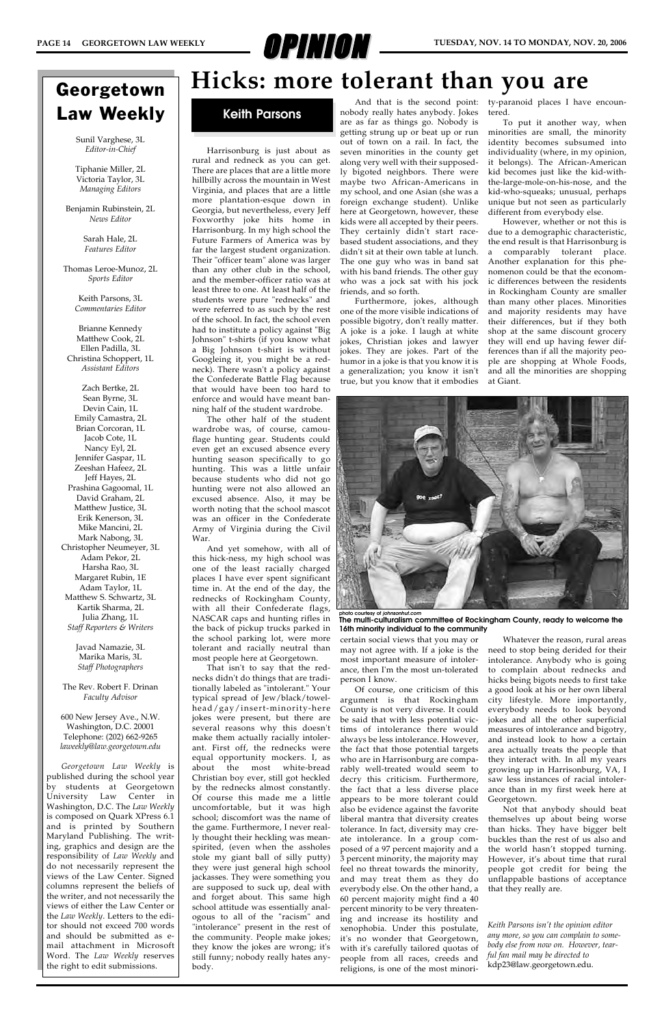

Harrisonburg is just about as rural and redneck as you can get. There are places that are a little more hillbilly across the mountain in West Virginia, and places that are a little more plantation-esque down in Georgia, but nevertheless, every Jeff Foxworthy joke hits home in Harrisonburg. In my high school the Future Farmers of America was by far the largest student organization. Their "officer team" alone was larger than any other club in the school, and the member-officer ratio was at least three to one. At least half of the students were pure "rednecks" and were referred to as such by the rest of the school. In fact, the school even had to institute a policy against "Big Johnson" t-shirts (if you know what a Big Johnson t-shirt is without Googleing it, you might be a redneck). There wasn't a policy against the Confederate Battle Flag because that would have been too hard to enforce and would have meant banning half of the student wardrobe.

The other half of the student wardrobe was, of course, camouflage hunting gear. Students could even get an excused absence every hunting season specifically to go hunting. This was a little unfair because students who did not go hunting were not also allowed an excused absence. Also, it may be worth noting that the school mascot was an officer in the Confederate Army of Virginia during the Civil War.

And yet somehow, with all of this hick-ness, my high school was one of the least racially charged places I have ever spent significant time in. At the end of the day, the rednecks of Rockingham County, with all their Confederate flags, NASCAR caps and hunting rifles in the back of pickup trucks parked in the school parking lot, were more tolerant and racially neutral than most people here at Georgetown.

That isn't to say that the rednecks didn't do things that are traditionally labeled as "intolerant." Your typical spread of Jew/black/towelhead/gay/insert-minority-here jokes were present, but there are several reasons why this doesn't make them actually racially intolerant. First off, the rednecks were equal opportunity mockers. I, as about the most white-bread Christian boy ever, still got heckled by the rednecks almost constantly. Of course this made me a little uncomfortable, but it was high school; discomfort was the name of the game. Furthermore, I never really thought their heckling was meanspirited, (even when the assholes stole my giant ball of silly putty) they were just general high school jackasses. They were something you are supposed to suck up, deal with and forget about. This same high school attitude was essentially analogous to all of the "racism" and "intolerance" present in the rest of the community. People make jokes; they know the jokes are wrong; it's still funny; nobody really hates anybody.

And that is the second point: nobody really hates anybody. Jokes are as far as things go. Nobody is getting strung up or beat up or run out of town on a rail. In fact, the seven minorities in the county get along very well with their supposedly bigoted neighbors. There were maybe two African-Americans in my school, and one Asian (she was a foreign exchange student). Unlike here at Georgetown, however, these kids were all accepted by their peers. They certainly didn't start racebased student associations, and they didn't sit at their own table at lunch. The one guy who was in band sat with his band friends. The other guy who was a jock sat with his jock friends, and so forth.

Furthermore, jokes, although one of the more visible indications of possible bigotry, don't really matter. A joke is a joke. I laugh at white jokes, Christian jokes and lawyer jokes. They are jokes. Part of the humor in a joke is that you know it is a generalization; you know it isn't true, but you know that it embodies

certain social views that you may or may not agree with. If a joke is the most important measure of intolerance, then I'm the most un-tolerated person I know.

Of course, one criticism of this argument is that Rockingham County is not very diverse. It could be said that with less potential victims of intolerance there would always be less intolerance. However, the fact that those potential targets who are in Harrisonburg are comparably well-treated would seem to decry this criticism. Furthermore, the fact that a less diverse place appears to be more tolerant could also be evidence against the favorite liberal mantra that diversity creates tolerance. In fact, diversity may create intolerance. In a group composed of a 97 percent majority and a 3 percent minority, the majority may feel no threat towards the minority, and may treat them as they do everybody else. On the other hand, a 60 percent majority might find a 40 percent minority to be very threatening and increase its hostility and xenophobia. Under this postulate, it's no wonder that Georgetown, with it's carefully tailored quotas of people from all races, creeds and religions, is one of the most minority-paranoid places I have encountered.

To put it another way, when minorities are small, the minority identity becomes subsumed into individuality (where, in my opinion, it belongs). The African-American kid becomes just like the kid-withthe-large-mole-on-his-nose, and the kid-who-squeaks; unusual, perhaps unique but not seen as particularly different from everybody else.

However, whether or not this is due to a demographic characteristic, the end result is that Harrisonburg is a comparably tolerant place. Another explanation for this phenomenon could be that the economic differences between the residents in Rockingham County are smaller than many other places. Minorities and majority residents may have their differences, but if they both shop at the same discount grocery they will end up having fewer differences than if all the majority people are shopping at Whole Foods, and all the minorities are shopping at Giant.

Whatever the reason, rural areas need to stop being derided for their intolerance. Anybody who is going to complain about rednecks and hicks being bigots needs to first take a good look at his or her own liberal city lifestyle. More importantly, everybody needs to look beyond jokes and all the other superficial measures of intolerance and bigotry, and instead look to how a certain area actually treats the people that they interact with. In all my years growing up in Harrisonburg, VA, I saw less instances of racial intolerance than in my first week here at Georgetown. Not that anybody should beat themselves up about being worse than hicks. They have bigger belt buckles than the rest of us also and the world hasn't stopped turning. However, it's about time that rural people got credit for being the unflappable bastions of acceptance that they really are.

### **Hicks: more tolerant than you are**

### **Keith Parsons**



**The multi-culturalism committee of Rockingham County, ready to welcome the 16th minority individual to the community**

*Keith Parsons isn't the opinion editor any more, so you can complain to somebody else from now on. However, tearful fan mail may be directed to* kdp23@law.georgetown.edu.

### Georgetown Law Weekly

Sunil Varghese, 3L *Editor-in-Chief*

Tiphanie Miller, 2L Victoria Taylor, 3L *Managing Editors*

Benjamin Rubinstein, 2L *News Editor*

> Sarah Hale, 2L *Features Editor*

Thomas Leroe-Munoz, 2L *Sports Editor*

> Keith Parsons, 3L *Commentaries Editor*

Brianne Kennedy Matthew Cook, 2L Ellen Padilla, 3L Christina Schoppert, 1L *Assistant Editors*

Zach Bertke, 2L Sean Byrne, 3L Devin Cain, 1L Emily Camastra, 2L Brian Corcoran, 1L Jacob Cote, 1L Nancy Eyl, 2L Jennifer Gaspar, 1L Zeeshan Hafeez, 2L Jeff Hayes, 2L Prashina Gagoomal, 1L David Graham, 2L Matthew Justice, 3L Erik Kenerson, 3L Mike Mancini, 2L Mark Nabong, 3L Christopher Neumeyer, 3L Adam Pekor, 2L Harsha Rao, 3L Margaret Rubin, 1E Adam Taylor, 1L Matthew S. Schwartz, 3L Kartik Sharma, 2L Julia Zhang, 1L *Staff Reporters & Writers*

> Javad Namazie, 3L Marika Maris, 3L *Staff Photographers*

The Rev. Robert F. Drinan *Faculty Advisor*

600 New Jersey Ave., N.W. Washington, D.C. 20001 Telephone: (202) 662-9265 *laweekly@law.georgetown.edu*

*Georgetown Law Weekly* is published during the school year by students at Georgetown University Law Center in Washington, D.C. The *Law Weekly* is composed on Quark XPress 6.1 and is printed by Southern Maryland Publishing. The writing, graphics and design are the responsibility of *Law Weekly* and do not necessarily represent the views of the Law Center. Signed columns represent the beliefs of the writer, and not necessarily the views of either the Law Center or the *Law Weekly*. Letters to the editor should not exceed 700 words and should be submitted as email attachment in Microsoft Word. The *Law Weekly* reserves the right to edit submissions.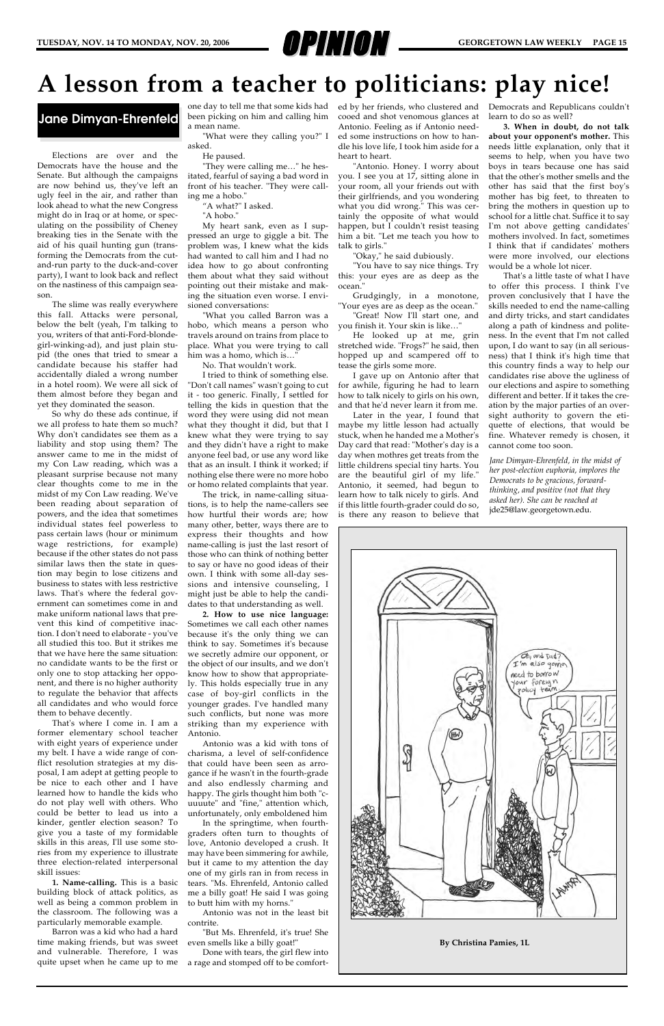

Elections are over and the Democrats have the house and the Senate. But although the campaigns are now behind us, they've left an ugly feel in the air, and rather than look ahead to what the new Congress might do in Iraq or at home, or speculating on the possibility of Cheney breaking ties in the Senate with the aid of his quail hunting gun (transforming the Democrats from the cutand-run party to the duck-and-cover party), I want to look back and reflect on the nastiness of this campaign season.

The slime was really everywhere this fall. Attacks were personal, below the belt (yeah, I'm talking to you, writers of that anti-Ford-blondegirl-winking-ad), and just plain stupid (the ones that tried to smear a candidate because his staffer had accidentally dialed a wrong number in a hotel room). We were all sick of them almost before they began and yet they dominated the season.

So why do these ads continue, if we all profess to hate them so much? Why don't candidates see them as a liability and stop using them? The answer came to me in the midst of my Con Law reading, which was a pleasant surprise because not many clear thoughts come to me in the midst of my Con Law reading. We've been reading about separation of powers, and the idea that sometimes individual states feel powerless to pass certain laws (hour or minimum wage restrictions, for example) because if the other states do not pass similar laws then the state in question may begin to lose citizens and business to states with less restrictive laws. That's where the federal government can sometimes come in and make uniform national laws that prevent this kind of competitive inaction. I don't need to elaborate - you've all studied this too. But it strikes me that we have here the same situation: no candidate wants to be the first or only one to stop attacking her opponent, and there is no higher authority to regulate the behavior that affects all candidates and who would force them to behave decently.

That's where I come in. I am a former elementary school teacher with eight years of experience under my belt. I have a wide range of conflict resolution strategies at my disposal, I am adept at getting people to be nice to each other and I have learned how to handle the kids who do not play well with others. Who could be better to lead us into a kinder, gentler election season? To give you a taste of my formidable skills in this areas, I'll use some stories from my experience to illustrate three election-related interpersonal skill issues:

**1. Name-calling.** This is a basic building block of attack politics, as well as being a common problem in the classroom. The following was a particularly memorable example.

Barron was a kid who had a hard time making friends, but was sweet and vulnerable. Therefore, I was quite upset when he came up to me been picking on him and calling him a mean name.

"What were they calling you?" I asked.

He paused.

"They were calling me…" he hesitated, fearful of saying a bad word in front of his teacher. "They were calling me a hobo."

"A what?" I asked.

"A hobo."

My heart sank, even as I suppressed an urge to giggle a bit. The problem was, I knew what the kids had wanted to call him and I had no idea how to go about confronting them about what they said without pointing out their mistake and making the situation even worse. I envisioned conversations:

"What you called Barron was a hobo, which means a person who travels around on trains from place to place. What you were trying to call him was a homo, which is…"

one day to tell me that some kids had ed by her friends, who clustered and Democrats and Republicans couldn't learn to do so as well?

No. That wouldn't work.

I tried to think of something else. "Don't call names" wasn't going to cut it - too generic. Finally, I settled for telling the kids in question that the word they were using did not mean what they thought it did, but that I knew what they were trying to say and they didn't have a right to make anyone feel bad, or use any word like that as an insult. I think it worked; if nothing else there were no more hobo or homo related complaints that year.

The trick, in name-calling situations, is to help the name-callers see how hurtful their words are; how many other, better, ways there are to express their thoughts and how name-calling is just the last resort of those who can think of nothing better to say or have no good ideas of their own. I think with some all-day sessions and intensive counseling, I might just be able to help the candidates to that understanding as well.

**2. How to use nice language:** Sometimes we call each other names because it's the only thing we can think to say. Sometimes it's because we secretly admire our opponent, or the object of our insults, and we don't know how to show that appropriately. This holds especially true in any case of boy-girl conflicts in the younger grades. I've handled many such conflicts, but none was more striking than my experience with Antonio.

Antonio was a kid with tons of charisma, a level of self-confidence that could have been seen as arrogance if he wasn't in the fourth-grade and also endlessly charming and happy. The girls thought him both "cuuuute" and "fine," attention which, unfortunately, only emboldened him In the springtime, when fourthgraders often turn to thoughts of love, Antonio developed a crush. It may have been simmering for awhile, but it came to my attention the day one of my girls ran in from recess in tears. "Ms. Ehrenfeld, Antonio called me a billy goat! He said I was going to butt him with my horns."

Antonio was not in the least bit contrite.

"But Ms. Ehrenfeld, it's true! She even smells like a billy goat!"

Done with tears, the girl flew into a rage and stomped off to be comfortcooed and shot venomous glances at Antonio. Feeling as if Antonio needed some instructions on how to handle his love life, I took him aside for a heart to heart.

"Antonio. Honey. I worry about you. I see you at 17, sitting alone in your room, all your friends out with their girlfriends, and you wondering what you did wrong." This was certainly the opposite of what would happen, but I couldn't resist teasing him a bit. "Let me teach you how to talk to girls."

"Okay," he said dubiously.

"You have to say nice things. Try this: your eyes are as deep as the ocean."

Grudgingly, in a monotone, "Your eyes are as deep as the ocean."

"Great! Now I'll start one, and you finish it. Your skin is like…"

He looked up at me, grin stretched wide. "Frogs?" he said, then hopped up and scampered off to tease the girls some more.

I gave up on Antonio after that for awhile, figuring he had to learn how to talk nicely to girls on his own, and that he'd never learn it from me.

Later in the year, I found that maybe my little lesson had actually stuck, when he handed me a Mother's Day card that read: "Mother's day is a day when mothres get treats from the little childrens special tiny harts. You are the beautiful girl of my life." Antonio, it seemed, had begun to learn how to talk nicely to girls. And if this little fourth-grader could do so, is there any reason to believe that

**3. When in doubt, do not talk about your opponent's mother.** This needs little explanation, only that it seems to help, when you have two boys in tears because one has said that the other's mother smells and the other has said that the first boy's mother has big feet, to threaten to bring the mothers in question up to school for a little chat. Suffice it to say I'm not above getting candidates' mothers involved. In fact, sometimes I think that if candidates' mothers were more involved, our elections would be a whole lot nicer.

That's a little taste of what I have to offer this process. I think I've proven conclusively that I have the skills needed to end the name-calling and dirty tricks, and start candidates along a path of kindness and politeness. In the event that I'm not called upon, I do want to say (in all seriousness) that I think it's high time that this country finds a way to help our candidates rise above the ugliness of our elections and aspire to something different and better. If it takes the creation by the major parties of an oversight authority to govern the etiquette of elections, that would be fine. Whatever remedy is chosen, it cannot come too soon.

### **A lesson from a teacher to politicians: play nice!**

### **Jane Dimyan-Ehrenfeld**

*Jane Dimyan-Ehrenfeld, in the midst of her post-election euphoria, implores the Democrats to be gracious, forwardthinking, and positive (not that they asked her). She can be reached at* jde25@law.georgetown.edu.



**By Christina Pamies, 1L**